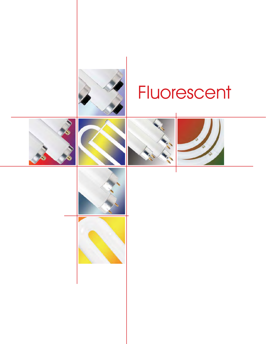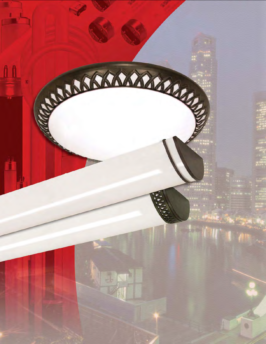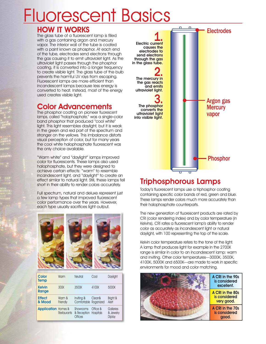# Fluorescent Basics

# HOW IT WORKS

The glass tube of a fluorescent lamp is filled with a gas containing argon and mercury vapor. The interior wall of the tube is coated with a paint known as phosphor. At each end of the tube, electrodes send electrons through the gas causing it to emit ultraviolet light. As the ultraviolet light passes through the phosphor coating, it is converted into a longer frequency to create visible light. The glass tube of the bulb prevents the harmful UV rays from escaping. Fluorescent lamps are more efficient than incandescent lamps because less energy is converted to heat. Instead, most of the energy used creates visible light.

# Color Advancements

The phosphor coating on pioneer fluorescent lamps, called "halophosphate," was a single-color band phosphor that produced "cool white" light. This light resembles daylight, but it is weak in the green and red part of the spectrum and stronger on the yellows. This imbalance distorts visual perception of color, but for many years the cool white halophosphate fluorescent was the only choice available.

"Warm white" and "daylight" lamps improved color for fluorescents. These lamps also used halophosphate, but they were designed to achieve certain effects: "warm" to resemble incandescent light, and "daylight" to create an effect similar to natural light. Still, these lamps fell short in their ability to render colors accurately.

Full spectrum, natural and deluxe represent just a few lamp types that improved fluorescent color performance over the years. However, each type usually sacrifices light output.



| Color<br>Temp                  | Warm               | <b>Neutral</b>                                | Cool         | Daylight                         |
|--------------------------------|--------------------|-----------------------------------------------|--------------|----------------------------------|
| <b>Kelvin</b><br>Range         | 300K               | 3500K                                         | 4100K        | 5000K                            |
| <b>Effect</b><br>& Mood        | Warm &<br>Friendly | Inviting &<br>Comfortable Roganized           | Clean&       | Bright &<br>Alert                |
| <b>Application Homes &amp;</b> | Restaurants        | Showrooms<br>& Reception Hospitals<br>Offices | $Office$ $R$ | Galleries<br>& Jewelry<br>Diplay |



# Triphosphorous Lamps

Today's fluorescent lamps use a triphosphor coating containing specific color bands of red, green and blue. These lamps render colors much more accurately than their halophosphate counterparts.

The new generation of fluorescent products are rated by CRI (color rendering index) and by color temperature (in Kelvins). CRI rates a fluorescent lamp's ability to render color as accurately as incandescent light or natural daylight, with 100 representing the top of the scale.

Kelvin color temperature refers to the tone of the light. A lamp that produces light for example in the 2700K range is similar in color to an incandescent lamp: warm and inviting. Other color temperatures—3000K, 3500K, 4100K, 5000K and 6500K—are made to work in specific environments for mood and color matching.

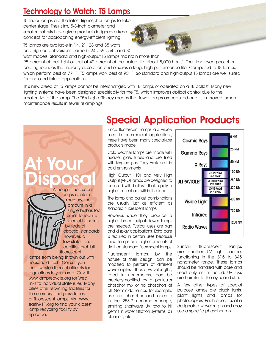# Technology to Watch: T5 Lamps

T5 linear lamps are the latest triphosphor lamps to take center stage. Their slim, 5/8-inch diameter and smaller ballasts have given product designers a fresh concept for approaching energy-efficient lighting.

T5 lamps are available in 14, 21, 28 and 35 watts and high-output versions come in 24-, 39-, 54-, and 80-

watt models. Standard and high-output T5 lamps maintain more than 95 percent of their light output at 40 percent of their rated life (about 8,000 hours). Their improved phosphor

coating reduces the mercury absorption and ensures a long, high-performance life. Compared to T8 lamps, which perform best at 77° F, T5 lamps work best at 95° F. So standard and high-output T5 lamps are well suited for enclosed fixture applications.

This new breed of T5 lamps cannot be interchanged with T8 lamps or operated on a T8 ballast. Many new lighting systems have been designed specifically for the T5, which improves optical control due to the smaller size of the lamp. The T5's high efficacy means that fewer lamps are required and its improved lumen maintenance results in fewer relampings.

# Although fluorescent lamps contain mercury, the by federal However, a few states and At Your **Disposal**

amount in a single bulb is too small to require special handling disposal standards. localities prohibit fluorescent

lamps from being thrown out with household trash. Consult your local waste disposal officials for regulations in your area. Or visit www.lamprecycle.org for Web links to individual state rules. Many cities offer recycling facilities for the mercury and glass tubes of fluorescent lamps. Visit www. earth911.org to find your closest lamp recycling facility by zip code.

# Special Application Products

Since fluorescent lamps are widely used in commercial applications, there have been many special-use products made.

Cold weather lamps are made with heavier glass tubes and are filled with krypton gas. They work best in cold environments.

High Output (HO) and Very High Output (VHO) lamps are designed to be used with ballasts that supply a higher current arc within the tube.

The lamp and ballast combinations are usually just as efficient as standard fluorescent lamps.

However, since they produce a higher lumen output, fewer lamps are needed. Typical uses are sign and display applications. Extra care is required in certain uses because these lamps emit higher amounts of UV than standard fluorescent lamps.

Fluorescent lamps, by the nature of their design, can be modified to perform at different wavelengths. These wavelengths, rated in nanometers, can be created/modified by a particular phosphor mix or no phosphors at all. Germicidal lamps, for example, use no phosphor and operate in the 253.7 nanometer range, emitting shortwave UV rays to kill germs in water filtration systems, air cleaners, etc.



Suntan fluorescent lamps are another UV light source, functioning in the 315 to 345 nanometer range. These lamps should be handled with care and used only as instructed. UV rays are harmful to the eyes and skin.

A few other types of special purpose lamps are black lights, plant lights and lamps for photocopiers. Each operates at a designated wavelength and may use a specific phosphor mix.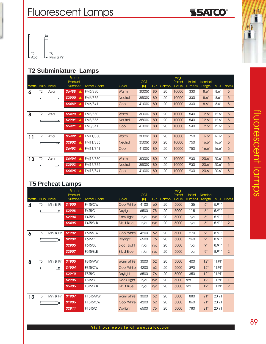





# **T2 Subminiature Lamps**

| Watts | <b>Bulb</b>    | <b>Base</b> | Satco<br>Product<br><b>Number</b> |   | <b>Lamp Code</b> | Color          | <b>CCT</b><br>(K) | <b>CRI</b> | Carton | Avg.<br>Rated<br>Hours | <b>Initial</b><br>Lumens | Nominal<br>Length |        | <b>MOL</b> Notes |
|-------|----------------|-------------|-----------------------------------|---|------------------|----------------|-------------------|------------|--------|------------------------|--------------------------|-------------------|--------|------------------|
| 6     | T <sub>2</sub> | Axial       | <b>S6488</b>                      | ▲ | FM6/830          | Warm           | 3000K             | 80         | 20     | 10000                  | 330                      | 8.6''             | 8.6''  | 5                |
|       |                | þ           | <b>S2900</b>                      | ▲ | FM6/835          | <b>Neutral</b> | 3500K             | 80         | 20     | 10000                  | 330                      | 8.6''             | 8.6''  | 5                |
|       |                |             | S6489                             | ▲ | <b>FM6/841</b>   | Cool           | 4100K             | 80         | 20     | 10000                  | 330                      | 8.6''             | 8.6''  | 5                |
|       |                |             |                                   |   |                  |                |                   |            |        |                        |                          |                   |        |                  |
| 8     | T <sub>2</sub> | Axial       | S6490                             | ▲ | <b>FM8/830</b>   | Warm           | 3000K             | 80         | 20     | 10000                  | 540                      | 12.6''            | 12.6'' | 5                |
|       |                | þ           | S2901                             | ▲ | FM8/835          | <b>Neutral</b> | 3500K             | 80         | 20     | 10000                  | 540                      | 12.6''            | 12.6'' | 5                |
|       |                |             | S6491                             | ▲ | <b>FM8/841</b>   | Cool           | 4100K             | 80         | 20     | 10000                  | 540                      | 12.6''            | 12.6'' | 5                |
|       |                |             |                                   |   |                  |                |                   |            |        |                        |                          |                   |        |                  |
| 11    | T <sub>2</sub> | Axial       | S6492                             | ▲ | FM11/830         | Warm           | 3000K             | 80         | 20     | 10000                  | 750                      | 16.6"             | 16.6'' | 5                |
|       |                | þ           | S2902                             | ▲ | FM11/835         | <b>Neutral</b> | 3500K             | 80         | 20     | 10000                  | 750                      | 16.6"             | 16.6"  | 5                |
|       |                |             | S6493                             | ▲ | FM11/841         | Cool           | 4100K             | 80         | 20     | 10000                  | 750                      | 16.6"             | 16.6'' | 5                |
|       |                |             |                                   |   |                  |                |                   |            |        |                        |                          |                   |        |                  |
| 13    | T <sub>2</sub> | Axial       | S6494                             | ▲ | FM13/830         | Warm           | 3000K             | 80         | 20     | 10000                  | 930                      | 20.6"             | 20.6"  | 5                |
|       |                | Þ           | S2903                             | ▲ | FM13/835         | <b>Neutral</b> | 3500K             | 80         | 20     | 10000                  | 930                      | 20.6"             | 20.6'' | 5                |
|       |                |             | S6495                             | ▲ | <b>FM13/841</b>  | Cool           | 4100K             | 80         | 20     | 10000                  | 930                      | 20.6"             | 20.6"  | 5                |

#### **T5 Preheat Lamps**

| Watts | <b>Bulb</b>    | <b>Base</b> | Satco<br>Product<br><b>Number</b> | Lamp Code      | Color              | <b>CCT</b><br>(K) | <b>CRI</b> | Carton | Avg.<br>Rated<br>Hours | Initial<br>Lumens | Nominal<br>Length |         | <b>MOL</b> Notes |
|-------|----------------|-------------|-----------------------------------|----------------|--------------------|-------------------|------------|--------|------------------------|-------------------|-------------------|---------|------------------|
| 4     | T <sub>5</sub> | Mini Bi Pin | <b>S1900</b>                      | <b>F4T5/CW</b> | Cool White         | 4100              | 60         | 20     | 5000                   | 135               | 6''               | 5.91''  |                  |
|       |                | ڇ⊏          | <b>S2908</b>                      | <b>F4T5/D</b>  | Daylight           | 6500              | 75         | 20     | 5000                   | 115               | 6''               | 5.91''  |                  |
|       |                |             | S2904                             | F4T5/BL        | <b>Black Light</b> | n/a               | n/a        | 20     | 5000                   | n/a               | 6''               | 5.91''  |                  |
|       |                |             | <b>S6405</b>                      | F4T5/BLB       | <b>Blk Lt Blue</b> | n/a               | n/a        | 20     | 5000                   | n/a               | 6 <sup>''</sup>   | 5.91''  | 2                |
| 6     | T <sub>5</sub> | Mini Bi Pin | S1902                             | <b>F6T5/CW</b> | Cool White         | 4200              | 62         | 20     | 5000                   | 270               | Q''               | 8.91"   |                  |
|       |                | ד⊑          | <b>S2909</b>                      | F6T5/D         | Daylight           | 6500              | 76         | 20     | 5000                   | 260               | 9''               | 8.91"   |                  |
|       |                |             | <b>S2905</b>                      | F6T5/BL        | <b>Black Light</b> | n/a               | n/a        | 20     | 5000                   | n/a               | Q''               | 8.91"   |                  |
|       |                |             | <b>S2907</b>                      | F6T5/BLB       | <b>Blk Lt Blue</b> | n/a               | n/a        | 20     | 5000                   | n/a               | 9''               | 8.91"   | $\overline{2}$   |
| 8     | T <sub>5</sub> | Mini Bi Pin | <b>S1905</b>                      | F8T5/WW        | <b>Warm White</b>  | 3000              | 52         | 20     | 5000                   | 400               | 12"               | 11.91'' |                  |
|       |                | Γቴ          | <b>S1904</b>                      | <b>F8T5/CW</b> | Cool White         | 4200              | 62         | 20     | 5000                   | 390               | 12"               | 11.91'' |                  |
|       |                |             | <b>S2910</b>                      | F8T5/D         | <b>Daylight</b>    | 6500              | 76         | 20     | 5000                   | 350               | 12"               | 11.91'' |                  |
|       |                |             | <b>S2906</b>                      | <b>F8T5/BL</b> | <b>Black Light</b> | n/a               | n/a        | 20     | 5000                   | n/a               | 12"               | 11.91'' |                  |
|       |                |             | <b>S6406</b>                      | F8T5/BLB       | <b>Blk Lt Blue</b> | n/a               | n/a        | 20     | 5000                   | n/a               | 12"               | 11.91'' | $\overline{2}$   |
|       |                |             |                                   |                |                    |                   |            |        |                        |                   |                   |         |                  |
| 13    | T <sub>5</sub> | Mini Bi Pin | <b>S1907</b>                      | F13T5/WW       | <b>Warm White</b>  | 3000              | 52         | 20     | 5000                   | 880               | 21"               | 20.91   |                  |
|       |                | B           | <b>S1906</b>                      | F13T5/CW       | Cool White         | 4200              | 62         | 20     | 5000                   | 860               | 21"               | 20.91   |                  |
|       |                |             | S2911                             | F13T5/D        | Daylight           | 6500              | 76         | 20     | 5000                   | 780               | 21"               | 20.91   |                  |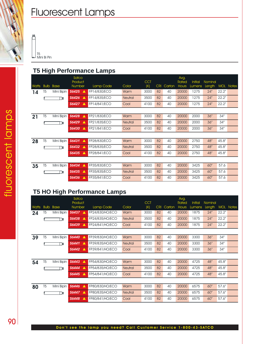



# **T5 High Performance Lamps**

| Watts |                | <b>Bulb Base</b> | Satco<br>Product<br><b>Number</b> |                  | Lamp Code           | Color          | <b>CCT</b><br>(K) | <b>CRI</b> | Carton | Avg.<br><b>Rated</b><br>Hours | <b>Initial</b><br>Lumens | Nominal<br>Length |       | <b>MOL</b> Notes |
|-------|----------------|------------------|-----------------------------------|------------------|---------------------|----------------|-------------------|------------|--------|-------------------------------|--------------------------|-------------------|-------|------------------|
| 14    | T <sub>5</sub> | Mini Bipin       | S6425                             | $\blacktriangle$ | <b>FP14/830/ECO</b> | Warm           | 3000              | 82         | 40     | 20000                         | 1275                     | 24"               | 22.2" |                  |
|       |                | ڇ                | S6426                             | ▲                | <b>FP14/835/ECO</b> | <b>Neutral</b> | 3500              | 82         | 40     | 20000                         | 1275                     | 24"               | 22.2" |                  |
|       |                |                  | S6427                             | ▲                | FP14/841/ECO        | Cool           | 4100              | 82         | 40     | 20000                         | 1275                     | 24''              | 22.2" |                  |
|       |                |                  |                                   |                  |                     |                |                   |            |        |                               |                          |                   |       |                  |
| 21    | T <sub>5</sub> | Mini Bipin       | <b>S6428</b>                      | ▲                | FP21/830/ECO        | Warm           | 3000              | 82         | 40     | 20000                         | 2000                     | 36"               | 34''  |                  |
|       |                | ڇ                | S6429                             | ▲                | FP21/835/ECO        | <b>Neutral</b> | 3500              | 82         | 40     | 20000                         | 2000                     | 36"               | 34''  |                  |
|       |                |                  | <b>S6430</b>                      | ▲                | <b>FP21/841/ECO</b> | Cool           | 4100              | 82         | 40     | 20000                         | 2000                     | 36"               | 34''  |                  |
|       |                |                  |                                   |                  |                     |                |                   |            |        |                               |                          |                   |       |                  |
| 28    | T <sub>5</sub> | Mini Bipin       | S6431                             | ▲                | FP28/830/ECO        | Warm           | 3000              | 82         | 40     | 20000                         | 2750                     | 48"               | 45.8" |                  |
|       |                | ъ.               | S6432                             | ▲                | <b>FP28/835/ECO</b> | Neutral        | 3500              | 82         | 40     | 20000                         | 2750                     | 48"               | 45.8" |                  |
|       |                |                  | S6435                             | ▲                | <b>FP28/841/ECO</b> | Cool           | 4100              | 82         | 40     | 20000                         | 2750                     | 48"               | 45.8" |                  |
|       |                |                  |                                   |                  |                     |                |                   |            |        |                               |                          |                   |       |                  |
| 35    | T <sub>5</sub> | Mini Bipin       | S6434                             | ▲                | FP35/830/ECO        | Warm           | 3000              | 82         | 40     | 20000                         | 3425                     | 60"               | 57.6  |                  |
|       |                | Ъ                | S6435                             | ▲                | FP35/835/ECO        | <b>Neutral</b> | 3500              | 82         | 40     | 20000                         | 3425                     | 60"               | 57.6  |                  |
|       |                |                  | S6436                             | ▲                | <b>FP35/841/ECO</b> | Cool           | 4100              | 82         | 40     | 20000                         | 3425                     | 60"               | 57.6  |                  |

#### **T5 HO High Performance Lamps**

|       |                |                  | Satco<br>Product |   |                        |                | <b>CCT</b> |            |        | Avg.<br>Rated | <b>Initial</b> | Nominal |        |                  |
|-------|----------------|------------------|------------------|---|------------------------|----------------|------------|------------|--------|---------------|----------------|---------|--------|------------------|
| Watts |                | <b>Bulb Base</b> | <b>Number</b>    |   | Lamp Code              | Color          | (K)        | <b>CRI</b> | Carton | <b>Hours</b>  | Lumens         | Length  |        | <b>MOL</b> Notes |
| 24    | T5             | Mini Bipin       | S6437            | ▲ | <b>FP24/830/HO/ECO</b> | Warm           | 3000       | 82         | 40     | 20000         | 1875           | 24''    | 22.2"  |                  |
|       |                | ڇ                | S6438            | ▲ | <b>FP24/835/HO/ECO</b> | <b>Neutral</b> | 3500       | 82         | 40     | 20000         | 1875           | 24''    | 22.2"  |                  |
|       |                |                  | S6439            | ▲ | <b>FP24/841/HO/ECO</b> | Cool           | 4100       | 82         | 40     | 20000         | 1875           | 24''    | 22.2"  |                  |
|       |                |                  |                  |   |                        |                |            |            |        |               |                |         |        |                  |
| 39    | T <sub>5</sub> | Mini Bipin       | S6440            | ▲ | FP39/830/HO/ECO        | Warm           | 3000       | 82         | 40     | 20000         | 3300           | 36"     | 34''   |                  |
|       |                | ڇ                | S6441            | ▲ | <b>FP39/835/HO/ECO</b> | <b>Neutral</b> | 3500       | 82         | 40     | 20000         | 3300           | 36"     | 34''   |                  |
|       |                |                  | S6442            | ▲ | <b>FP39/841/HO/ECO</b> | Cool           | 4100       | 82         | 40     | 20000         | 3300           | 36"     | 34''   |                  |
|       |                |                  |                  |   |                        |                |            |            |        |               |                |         |        |                  |
| 54    | T <sub>5</sub> | Mini Bipin       | S6443            | ▲ | FP54/830/HO/ECO        | Warm           | 3000       | 82         | 40     | 20000         | 4725           | 48"     | 45.8"  |                  |
|       |                | ڇ                | S6444            | ▲ | FP54/835/HO/ECO        | <b>Neutral</b> | 3500       | 82         | 40     | 20000         | 4725           | 48"     | 45.8"  |                  |
|       |                |                  | S6445            | ▲ | <b>FP54/841/HO/ECO</b> | Cool           | 4100       | 82         | 40     | 20000         | 4725           | 48"     | 45.8"  |                  |
|       |                |                  |                  |   |                        |                |            |            |        |               |                |         |        |                  |
| 80    | T5             | Mini Bipin       | S6446            | ▲ | FP80/830/HO/ECO        | Warm           | 3000       | 82         | 40     | 20000         | 6575           | 60"     | 57.6'' |                  |
|       |                | B                | S6447            | ▲ | FP80/835/HO/ECO        | <b>Neutral</b> | 3500       | 82         | 40     | 20000         | 6575           | 60"     | 57.6'' |                  |
|       |                |                  | S6448            | ▲ | FP80/841/HO/ECO        | Cool           | 4100       | 82         | 40     | 20000         | 6575           | 60"     | 57.6'' |                  |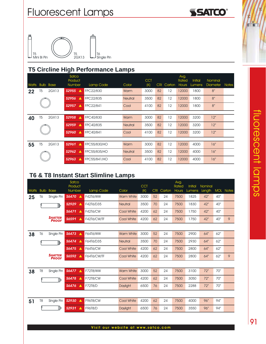T5 Mini Bi Pin T5 2GX13 T6 Single Pin

# **T5 Circline High Performance Lamps**

| Watts |                | <b>Bulb Base</b> | Satco<br>Product<br><b>Number</b> | Lamp Code           | Color          | <b>CCT</b><br>(K) | <b>CRI</b> | Carton | Avg.<br><b>Rated</b><br>Hours | <b>Initial</b><br>Lumens | Nominal<br><b>Diameter</b> | <b>Notes</b> |
|-------|----------------|------------------|-----------------------------------|---------------------|----------------|-------------------|------------|--------|-------------------------------|--------------------------|----------------------------|--------------|
| 22    | T5             | 2GX13            | S2955<br>$\blacktriangle$         | FPC22/830           | Warm           | 3000              | 82         | 12     | 12000                         | 1800                     | 8''                        |              |
|       |                |                  | S2956<br>▲                        | FPC22/835           | <b>Neutral</b> | 3500              | 82         | 12     | 12000                         | 1800                     | 8''                        |              |
|       |                |                  | S2957<br>▲                        | <b>FPC22/841</b>    | Cool           | 4100              | 82         | 12     | 12000                         | 1800                     | 8''                        |              |
|       |                |                  |                                   |                     |                |                   |            |        |                               |                          |                            |              |
| 40    | T <sub>5</sub> | 2GX13            | S2958<br>$\blacktriangle$         | FPC40/830           | Warm           | 3000              | 82         | 12     | 12000                         | 3200                     | 12"                        |              |
|       |                |                  | S2959<br>▲                        | FPC40/835           | <b>Neutral</b> | 3500              | 82         | 12     | 12000                         | 3200                     | 12"                        |              |
|       |                |                  | <b>S2960</b><br>$\blacktriangle$  | FPC40/841           | Cool           | 4100              | 82         | 12     | 12000                         | 3200                     | 12"                        |              |
|       |                |                  |                                   |                     |                |                   |            |        |                               |                          |                            |              |
| 55    | T <sub>5</sub> | 2GX13            | S2961<br>$\blacktriangle$         | <b>FPC55/830/HO</b> | Warm           | 3000              | 82         | 12     | 12000                         | 4000                     | 16"                        |              |
|       |                |                  | S2962<br>▲                        | <b>FPC55/835/HO</b> | <b>Neutral</b> | 3500              | 82         | 12     | 12000                         | 4000                     | 16"                        |              |
|       |                |                  | S2963<br>▲                        | <b>FPC55/841/HO</b> | Cool           | 4100              | 82         | 12     | 12000                         | 4000                     | 16"                        |              |

# **T6 & T8 Instant Start Slimline Lamps**

| Watts | <b>Bulb</b>    | <b>Base</b>                    | Satco<br>Product<br><b>Number</b> |                  | Lamp Code       | Color             | <b>CCT</b><br>(K) | <b>CRI</b> | Carton | Avg.<br><b>Rated</b><br><b>Hours</b> | <b>Initial</b><br>Lumens | Nominal<br>Length |      | <b>MOL</b> Notes |
|-------|----------------|--------------------------------|-----------------------------------|------------------|-----------------|-------------------|-------------------|------------|--------|--------------------------------------|--------------------------|-------------------|------|------------------|
| 25    | T6             | Single Pin                     | <b>S6470</b>                      | $\blacktriangle$ | F42T6/WW        | <b>Warm White</b> | 3000              | 52         | 24     | 7500                                 | 1825                     | 42"               | 40"  |                  |
|       |                | ⊪                              | S2929                             | $\blacktriangle$ | F42T6/D35       | <b>Neutral</b>    | 3500              | 70         | 24     | 7500                                 | 1830                     | 42"               | 40"  |                  |
|       |                |                                | S6471                             | ▲                | F42T6/CW        | Cool White        | 4200              | 62         | 24     | 7500                                 | 1750                     | 42"               | 40"  |                  |
|       |                | <b>SHATTER</b><br><b>PROOF</b> | S6591                             | ▲                | F42T6/CW/TF     | Cool White        | 4200              | 62         | 24     | 7500                                 | 1750                     | 42"               | 40"  | 9                |
|       |                |                                |                                   |                  |                 |                   |                   |            |        |                                      |                          |                   |      |                  |
| 38    | T6             | Single Pin                     | <b>S6473</b>                      | ▲                | F64T6/WW        | <b>Warm White</b> | 3000              | 52         | 24     | 7500                                 | 2900                     | 64"               | 62"  |                  |
|       |                | ⊪                              | S6474                             | ▲                | F64T6/D35       | <b>Neutral</b>    | 3500              | 70         | 24     | 7500                                 | 2930                     | 64''              | 62"  |                  |
|       |                |                                | <b>S6475</b>                      | $\blacktriangle$ | <b>F64T6/CW</b> | Cool White        | 4200              | 62         | 24     | 7500                                 | 2800                     | 64"               | 62"  |                  |
|       |                | <b>SHATTER</b><br><b>PROOF</b> | S6592                             | $\blacktriangle$ | F64T6/CW/TF     | Cool White        | 4200              | 62         | 24     | 7500                                 | 2800                     | 64"               | 62"  | 9                |
|       |                |                                |                                   |                  |                 |                   |                   |            |        |                                      |                          |                   |      |                  |
| 38    | T <sub>8</sub> | Single Pin                     | S6477                             | ▲                | <b>F72T8/WW</b> | <b>Warm White</b> | 3000              | 52         | 24     | 7500                                 | 3100                     | 72"               | 70'' |                  |
|       |                | ℡                              | <b>S6478</b>                      | ▲                | <b>F72T8/CW</b> | Cool White        | 4200              | 62         | 24     | 7500                                 | 3050                     | 72"               | 70"  |                  |
|       |                |                                | <b>S6476</b>                      | ▲                | F72T8/D         | Daylight          | 6500              | 76         | 24     | 7500                                 | 2288                     | 72"               | 70"  |                  |
|       |                |                                |                                   |                  |                 |                   |                   |            |        |                                      |                          |                   |      |                  |
| 51    | T <sub>8</sub> | Single Pin                     | <b>S2930</b>                      | ▲                | <b>F96T8/CW</b> | Cool White        | 4200              | 62         | 24     | 7500                                 | 4000                     | 96"               | 94'' |                  |
|       |                | IIÞ                            | S2931                             | ▲                | F96T8/D         | Daylight          | 6500              | 76         | 24     | 7500                                 | 3550                     | 96''              | 94'' |                  |

#### Visit our website at www.satco.com

fluorescent lamps 91fluorescent lamps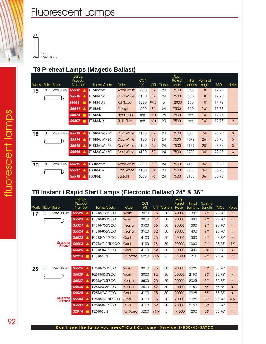

#### **T8 Preheat Lamps (Magetic Ballast)**

| Watts |                | <b>Bulb Base</b> | Satco<br>Product<br><b>Number</b> |    | Lamp Code           | Color              | <b>CCT</b><br>(K) | <b>CRI</b> | Carton | Avg.<br><b>Rated</b><br>Hours | <b>Initial</b><br>Lumens | Nominal<br>Length | <b>MOL</b> | <b>Notes</b>   |
|-------|----------------|------------------|-----------------------------------|----|---------------------|--------------------|-------------------|------------|--------|-------------------------------|--------------------------|-------------------|------------|----------------|
| 15    | T <sub>8</sub> | Med Bi Pin       | $S6512 \triangle$                 |    | F15T8/WW            | <b>Warm White</b>  | 3000              | 52         | 24     | 7500                          | 845                      | 18"               | 17.78"     |                |
|       |                | ℔                | S6510                             | ▲  | F15T8/CW            | Cool White         | 4100              | 62         | 24     | 7500                          | 850                      | 18"               | 17.78"     |                |
|       |                |                  | S6665                             | г  | <b>F15T8/SUN</b>    | <b>Full Spec</b>   | 6250              | 94.5       | 6      | 12000                         | 600                      | 18"               | 17.78"     |                |
|       |                |                  | S6511                             | ▲  | F15T8/D             | Daylight           | 6500              | 76         | 24     | 7500                          | 750                      | 18"               | 17.78"     |                |
|       |                |                  | S4574                             | п  | F15T8/BL            | <b>Black Light</b> | n/a               | n/a        | 25     | 7500                          | n/a                      | 18"               | 17.78"     |                |
|       |                |                  | S6407                             | г  | F15T8/BLB           | <b>Blk Lt Blue</b> | n/a               | n/a        | 20     | 7500                          | n/a                      | 18"               | 17.78"     | $\overline{2}$ |
|       |                |                  |                                   |    |                     |                    |                   |            |        |                               |                          |                   |            |                |
| 18    | T <sub>8</sub> | Med Bi Pin       | S6513                             | ▲  | F18T8/CW/K24        | Cool White         | 4100              | 62         | 24     | 7500                          | 1035                     | 24''              | 23.78"     | $\mathbf{3}$   |
|       |                | ١E               | S6514                             | ▲  | F18T8/CW/K26        | Cool White         | 4100              | 62         | 24     | 7500                          | 1079                     | 26''              | 25.78"     | $\mathbf{3}$   |
|       |                |                  | S6515                             | ▲  | <b>F18T8/CW/K28</b> | Cool White         | 4100              | 62         | 24     | 7500                          | 1131                     | 28''              | 27.78"     | $\mathbf{3}$   |
|       |                |                  | S6516                             | ▲  | F18T8/CW/K30        | Cool White         | 4100              | 62         | 24     | 7500                          | 1200                     | 30"               | 29.78"     | $\mathbf{3}$   |
|       |                |                  |                                   |    |                     |                    |                   |            |        |                               |                          |                   |            |                |
| 30    | T <sub>8</sub> | Med Bi Pin       | S6519                             | ▲  | F30T8/WW            | <b>Warm White</b>  | 3000              | 52         | 24     | 7500                          | 2150                     | 36"               | 35.78"     |                |
|       |                | ₿                | S6517                             | ▁▲ | <b>F30T8/CW</b>     | Cool White         | 4100              | 62         | 24     | 7500                          | 1380                     | 36"               | 35.78"     |                |
|       |                |                  | S6518                             | ▲  | F30T8/D             | <b>Daylight</b>    | 6500              | 76         | 24     | 7500                          | 2180                     | 36"               | 35.78"     |                |

# **T8 Instant / Rapid Start Lamps (Electonic Ballast) 24" & 36"**

| Watts | <b>Bulb</b>    | <b>Base</b>                    | Satco<br>Product<br><b>Number</b> |                       | Lamp Code               | Color            | <b>CCT</b><br>(K) | <b>CRI</b> | Carton | Avg.<br><b>Rated</b><br>Hours | <b>Initial</b><br>Lumens | Nominal<br>Length | <b>MOL</b> | <b>Notes</b>   |
|-------|----------------|--------------------------------|-----------------------------------|-----------------------|-------------------------|------------------|-------------------|------------|--------|-------------------------------|--------------------------|-------------------|------------|----------------|
| 17    | T8             | Med. Bi Pin                    | <b>S6520</b>                      | $\blacktriangleright$ | F17T8/730/ECO           | Warm             | 3000              | 75         | 30     | 20000                         | 1300                     | 24''              | 23.78"     | $\overline{4}$ |
|       |                | 飞                              | S6523                             | $\blacktriangle$      | F17T8/830/ECO           | Warm             | 3000              | 82         | 30     | 20000                         | 1400                     | 24''              | 23.78"     | $\overline{4}$ |
|       |                |                                | S6521                             |                       | F17T8/735/ECO           | <b>Neutral</b>   | 3500              | 75         | 30     | 20000                         | 1300                     | 24''              | 23.78"     | $\overline{4}$ |
|       |                |                                | S6524                             | ◢                     | F17T8/835/ECO           | <b>Neutral</b>   | 3500              | 82         | 30     | 20000                         | 1400                     | 24''              | 23.78"     | $\overline{4}$ |
|       |                |                                | S6522                             | <b>A</b>              | F17T8/741/ECO           | Cool             | 4100              | 75         | 30     | 20000                         | 1300                     | 24''              | 23.78"     | $\overline{4}$ |
|       |                | <b>SHATTER</b><br><b>PROOF</b> | S6583                             | ∽                     | <b>F17T8/741/TF/ECO</b> | Cool             | 4100              | 75         | 30     | 20000                         | 1300                     | 24''              | 23.78"     | 4,9            |
|       |                |                                | S6525                             | $\blacktriangle$      | F17T8/841/ECO           | Cool             | 4100              | 82         | 30     | 20000                         | 1400                     | 24''              | 23.78"     | $\overline{4}$ |
|       |                |                                | S2913                             | г                     | F17T8/SUN               | <b>Full Spec</b> | 6250              | 94.5       | 6      | 14,000                        | 750                      | 24''              | 23.78"     | $\overline{4}$ |
|       |                |                                |                                   |                       |                         |                  |                   |            |        |                               |                          |                   |            |                |
| 25    | T <sub>8</sub> | Med. Bi Pin                    | S6526                             | - 4                   | F25T8/730/ECO           | Warm             | 3000              | 75         | 30     | 20000                         | 2025                     | 36''              | 35.78"     | $\overline{4}$ |
|       |                | 飞                              | S6529                             | <b>A</b>              | F25T8/830/ECO           | Warm             | 3000              | 82         | 30     | 20000                         | 2150                     | 36''              | 35.78"     | $\overline{4}$ |
|       |                |                                | S6527                             | ◢                     | F25T8/735/ECO           | <b>Neutral</b>   | 3500              | 75         | 30     | 20000                         | 2025                     | 36"               | 35.78"     | $\overline{4}$ |
|       |                |                                | S6530                             | ▲                     | F25T8/835/ECO           | <b>Neutral</b>   | 3500              | 82         | 30     | 20000                         | 2150                     | 36"               | 35.78"     | $\overline{4}$ |
|       |                |                                | S6528                             | $\blacktriangle$      | F25T8/741/ECO           | Cool             | 4100              | 75         | 30     | 20000                         | 2025                     | 36"               | 35.78"     | $\overline{4}$ |
|       |                | <b>SHATTER</b><br><b>PROOF</b> | S6584                             | $\blacktriangle$      | F25T8/741/TF/ECO        | Cool             | 4100              | 75         | 30     | 20000                         | 2025                     | 36"               | 35.78"     | 4,9            |
|       |                |                                | S6531                             | - 4                   | F25T8/841/ECO           | Cool             | 4100              | 82         | 30     | 20000                         | 2150                     | 36"               | 35.78"     | $\overline{4}$ |
|       |                |                                | S2914                             |                       | <b>F25T8/SUN</b>        | <b>Full Spec</b> | 6250              | 94.5       | 6      | 14,000                        | 1200                     | 36"               | 35.78"     | $\overline{4}$ |

#### Don't see the lamp you need? Call Customer Service 1-800-43-SATCO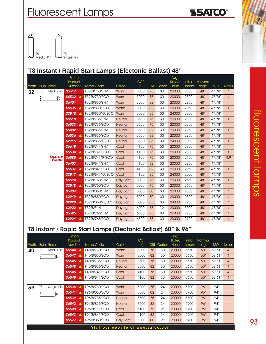



# **T8 Instant / Rapid Start Lamps (Electonic Ballast) 48"**

| Watts |                | <b>Bulb Base</b>               | Satco<br><b>Product</b><br>Number |                  | <b>Lamp Code</b> | Color          | <b>CCT</b><br>(K) | <b>CRI</b> | Carton | Avg.<br><b>Rated</b><br>Hours | <b>Initial</b><br>Lumens | Nominal<br>Length | <b>MOL</b> | <b>Notes</b>   |
|-------|----------------|--------------------------------|-----------------------------------|------------------|------------------|----------------|-------------------|------------|--------|-------------------------------|--------------------------|-------------------|------------|----------------|
| 32    | T <sub>8</sub> | Med Bi Pin                     | S6617                             |                  | F32T8/730/ENV    | Warm           | 3000              | 75         | 30     | 20000                         | 2800                     | 48"               | 47.78"     | $\overline{4}$ |
|       |                | ℔                              | S6532                             | ▲                | F32T8/730/ECO    | Warm           | 3000              | 75         | 30     | 20000                         | 2800                     | 48"               | 47.78"     | $\overline{4}$ |
|       |                |                                | <b>S6401</b>                      |                  | F32T8/830/ENV    | Warm           | 3000              | 82         | 30     | 20000                         | 2950                     | 48"               | 47.78"     | $\overline{4}$ |
|       |                |                                | <b>S6535</b>                      | $\blacktriangle$ | F32T8/830/ECO    | Warm           | 3000              | 82         | 30     | 20000                         | 2950                     | 48"               | 47.78"     | $\overline{4}$ |
|       |                |                                | $S2915 \triangle$                 |                  | F32T8/830/XP/ECO | Warm           | 3000              | 85         | 30     | 24000                         | 3000                     | 48"               | 47.78"     | $\overline{4}$ |
|       |                |                                | <b>S6618</b>                      |                  | F32T8/735/ENV    | <b>Neutral</b> | 3500              | 75         | 30     | 20000                         | 2800                     | 48"               | 47.78"     | $\overline{4}$ |
|       |                |                                | S6533                             | ▲                | F32T8/735/ECO    | <b>Neutral</b> | 3500              | 75         | 30     | 20000                         | 2800                     | 48"               | 47.78"     | $\overline{4}$ |
|       |                |                                | <b>S6402</b>                      |                  | F32T8/835/ENV    | <b>Neutral</b> | 3500              | 82         | 30     | 20000                         | 2950                     | 48"               | 47.78"     | $\overline{4}$ |
|       |                |                                | $S6536 \triangle$                 |                  | F32T8/835/ECO    | <b>Neutral</b> | 3500              | 82         | 30     | 20000                         | 2950                     | 48"               | 47.78"     | $\overline{4}$ |
|       |                |                                | $$2916$ $\triangle$               |                  | F32T8/835/XP/ECO | <b>Neutral</b> | 3500              | 85         | 30     | 24000                         | 3000                     | 48"               | 47.78"     | $\overline{4}$ |
|       |                |                                | S6619                             |                  | F32T8/741/ENV    | Cool           | 4100              | 75         | 30     | 20000                         | 2800                     | 48"               | 47.78"     | $\overline{4}$ |
|       |                |                                | S6534                             | ▲                | F32T8/741/ECO    | Cool           | 4100              | 75         | 30     | 20000                         | 2800                     | 48"               | 47.78"     | $\overline{4}$ |
|       |                | <b>SHATTER</b><br><b>PROOF</b> | S6585                             | ▲                | F32T8/741/TF/ECO | Cool           | 4100              | 75         | 30     | 20000                         | 2750                     | 48"               | 47.78"     | 4,9            |
|       |                |                                | <b>S6403</b>                      |                  | F32T8/841/ENV    | Cool           | 4100              | 82         | 30     | 20000                         | 2950                     | 48"               | 47.78"     | $\overline{4}$ |
|       |                |                                | $S6537 \triangle$                 |                  | F32T8/841/ECO    | Cool           | 4100              | 82         | 30     | 20000                         | 2950                     | 48"               | 47.78"     | $\overline{4}$ |
|       |                |                                | $S2917 \triangle$                 |                  | F32T8/841/XP/ECO | Cool           | 4100              | 85         | 30     | 24000                         | 3000                     | 48"               | 47.78"     | $\overline{4}$ |
|       |                |                                | S6694                             |                  | F32T8/750/ENV    | Day Light      | 5000              | 75         | 30     | 20000                         | 2650                     | 48"               | 47.78"     | $\overline{4}$ |
|       |                |                                | S2918                             | ▲                | F32T8/750/ECO    | Day Light      | 5000              | 75         | 30     | 20000                         | 2650                     | 48"               | 47.78"     | $\overline{4}$ |
|       |                |                                | <b>S6404</b>                      |                  | F32T8/850/ENV    | Day Light      | 5000              | 80         | 30     | 20000                         | 2800                     | 48"               | 47.78"     | $\overline{4}$ |
|       |                |                                | S2919                             | $\blacktriangle$ | F32T8/850/ECO    | Day Light      | 5000              | 80         | 30     | 20000                         | 2800                     | 48"               | 47.78"     | $\overline{4}$ |
|       |                |                                | <b>S2920</b>                      | $\blacktriangle$ | F32T8/850/XP/ECO | Day Light      | 5000              | 85         | 30     | 24000                         | 2950                     | 48"               | 47.78"     | $\overline{4}$ |
|       |                |                                | S2922                             | п                | F32T8/SUN        | Day Light      | 6000              | 85         | 12     | 20000                         | 3000                     | 48"               | 47.78"     | $\overline{4}$ |
|       |                |                                | <b>S6695</b>                      |                  | F32T8/765/ENV    | Day Light      | 6500              | 75         | 30     | 20000                         | 2700                     | 48"               | 47.78"     | $\overline{4}$ |
|       |                |                                | S2921                             | ▲                | F32T8/765/ECO    | Day Light      | 6500              | 75         | 30     | 20000                         | 2700                     | 48"               | 47.78"     | $\overline{4}$ |

# T8 Instant / Rapid Start Lamps (Electonic Ballast) 60" & 96"

|       |                |                  | Satco<br><b>Product</b> |                  |                                    |                | <b>CCT</b> |            |        | Avg.<br><b>Rated</b> | <b>Initial</b> | <b>Nominal</b> |            |                |
|-------|----------------|------------------|-------------------------|------------------|------------------------------------|----------------|------------|------------|--------|----------------------|----------------|----------------|------------|----------------|
| Watts |                | <b>Bulb Base</b> | Number                  |                  | Lamp Code                          | Color          | (K)        | <b>CRI</b> | Carton | Hours                | Lumens         | Length         | <b>MOL</b> | <b>Notes</b>   |
| 40    | T <sub>8</sub> | Med Bi Pin       | S6544                   | ▲                | F40T8/730/ECO                      | Warm           | 3000       | 75         | 30     | 20000                | 3550           | 60"            | 59.61"     | $\overline{4}$ |
|       |                | 飞                | S6547                   | $\blacktriangle$ | F40T8/830/ECO                      | Warm           | 3000       | 82         | 30     | 20000                | 3650           | 60"            | 59.61"     | $\overline{4}$ |
|       |                |                  | S6545                   | $\blacktriangle$ | F40T8/735/ECO                      | <b>Neutral</b> | 3500       | 75         | 30     | 20000                | 3550           | 60"            | 59.61"     | $\overline{4}$ |
|       |                |                  | S6548                   | $\blacktriangle$ | F40T8/835/ECO                      | <b>Neutral</b> | 3500       | 82         | 30     | 20000                | 3650           | 60"            | 59.61"     | $\overline{4}$ |
|       |                |                  | S6546                   | ▲                | F40T8/741/ECO                      | Cool           | 4100       | 75         | 30     | 20000                | 3550           | 60"            | 59.61"     | $\overline{4}$ |
|       |                |                  | S6549                   | $\blacktriangle$ | F40T8/841/ECO                      | Cool           | 4100       | 82         | 30     | 20000                | 3650           | 60''           | 59.61"     | $\overline{4}$ |
|       |                |                  |                         |                  |                                    |                |            |            |        |                      |                |                |            |                |
| 59    | T <sub>8</sub> | Single Pin       | <b>S6538</b>            | $\blacktriangle$ | F96T8/730/ECO                      | Warm           | 3000       | 75         | 24     | 20000                | 5700           | 96"            | 94"        |                |
|       |                | ь                | S6541                   | ▲                | F96T8/830/ECO                      | Warm           | 3000       | 82         | 24     | 20000                | 5900           | 96"            | 94"        |                |
|       |                |                  | S6539                   | $\blacktriangle$ | F96T8/735/ECO                      | <b>Neutral</b> | 3500       | 75         | 24     | 20000                | 5700           | 96"            | 94"        |                |
|       |                |                  | S6542                   | $\blacktriangle$ | F96T8/835/ECO                      | <b>Neutral</b> | 3500       | 82         | 24     | 20000                | 5900           | 96"            | 94"        |                |
|       |                |                  | S6540                   | ▲                | F96T8/741/ECO                      | Cool           | 4100       | 75         | 24     | 20000                | 5700           | 96"            | 94"        |                |
|       |                |                  | S6543                   | ▲                | F96T8/841/ECO                      | Cool           | 4100       | 82         | 24     | 20000                | 5900           | 96"            | 94''       |                |
|       |                |                  | S6577                   | ▲                | F96T8/850/ECO                      | Day Light      | 5000       | 80         | 24     | 20000                | 5900           | 96''           | 94"        |                |
|       |                |                  |                         |                  | Visit our website at www.satco.com |                |            |            |        |                      |                |                |            |                |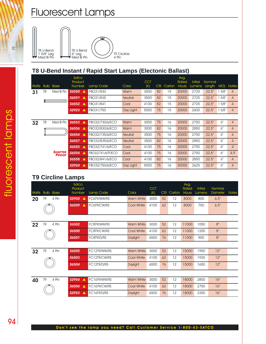

# **T8 U-Bend Instant / Rapid Start Lamps (Electonic Ballast)**

|       |                |                                | Satco<br><b>Product</b> |                  |                        |                | <b>CCT</b> |            |        | Avg.<br><b>Rated</b> | <b>Initial</b> | <b>Nominal</b> |        |                  |
|-------|----------------|--------------------------------|-------------------------|------------------|------------------------|----------------|------------|------------|--------|----------------------|----------------|----------------|--------|------------------|
| Watts |                | <b>Bulb Base</b>               | <b>Number</b>           |                  | Lamp Code              | Color          | (K)        | <b>CRI</b> | Carton | <b>Hours</b>         | Lumens         | Length         |        | <b>MOL</b> Notes |
| 31    | T <sub>8</sub> | Med Bi Pin                     | <b>S6550</b>            | ▲                | FBO31/830              | Warm           | 3000       | 82         | 15     | 20000                | 2725           | 22.5"          | 15/8'' | $\overline{4}$   |
|       |                |                                | S6551                   | ▲                | FBO31/835              | <b>Neutral</b> | 3500       | 82         | 15     | 20000                | 2725           | 22.5''         | 5/8''  | $\overline{4}$   |
|       |                |                                | S6552                   | ▲                | FBO31/841              | Cool           | 4100       | 82         | 15     | 20000                | 2725           | 22.5"          | 5/8''  | $\overline{4}$   |
|       |                |                                | S2923                   | ▲                | FBO31/750              | Day Light      | 5000       | 75         | 15     | 20000                | 2600           | 22.5''         | 5/8''  | $\overline{4}$   |
|       |                |                                |                         |                  |                        |                |            |            |        |                      |                |                |        |                  |
| 32    | T8             | Med Bi Pin                     | S6553                   | ▲                | FBO32/730/6/ECO        | Warm           | 3000       | 75         | 16     | 20000                | 2750           | 22.5''         | 6''    | $\overline{4}$   |
|       |                |                                | S6556                   | ▲                | FBO32/830/6/ECO        | Warm           | 3000       | 82         | 16     | 20000                | 2850           | 22.5''         | 6''    | $\overline{4}$   |
|       |                |                                | S6554                   | ▲                | FBO32/735/6/ECO        | <b>Neutral</b> | 3500       | 75         | 16     | 20000                | 2750           | 22.5''         | 6''    | $\overline{4}$   |
|       |                |                                | S6557                   | ▲                | FBO32/835/6/ECO        | <b>Neutral</b> | 3500       | 82         | 16     | 20000                | 2850           | 22.5''         | 6''    | $\overline{4}$   |
|       |                |                                | S6555                   | ▲                | FBO32/741/6/ECO        | Cool           | 4100       | 75         | 16     | 20000                | 2750           | 22.5''         | 6''    | $\overline{4}$   |
|       |                | <b>SHATTER</b><br><b>PROOF</b> | S6594                   | $\blacktriangle$ | FBO32/741/6/TF/ECO     | Cool           | 4100       | 75         | 16     | 20000                | 2750           | 22.5''         | 6''    | 4,9              |
|       |                |                                | S6558                   | ▲                | FBO32/841/6/ECO        | Cool           | 4100       | 82         | 16     | 20000                | 2850           | 22.5''         | 6''    | $\overline{4}$   |
|       |                |                                | S2924                   | ▲                | <b>FBO32/750/6/ECO</b> | Day Light      | 5000       | 75         | 16     | 20000                | 2625           | 22.5''         | $6''$  | $\overline{4}$   |
|       |                |                                |                         |                  |                        |                |            |            |        |                      |                |                |        |                  |

#### **T9 Circline Lamps**

| Watts | <b>Bulb Base</b><br>T9 | 4 Pin | Satco<br>Product<br>Number<br><b>S2950</b>     | Lamp Code                   | Color<br><b>Warm White</b> | <b>CCT</b><br>(K)<br>3000 | <b>CRI</b><br>52 | Carton<br>12 | Avg.<br><b>Rated</b><br>Hours<br>8000 | <b>Initial</b><br>Lumens<br>800 | Nominal<br><b>Diameter</b><br>6.5'' | <b>Notes</b> |
|-------|------------------------|-------|------------------------------------------------|-----------------------------|----------------------------|---------------------------|------------------|--------------|---------------------------------------|---------------------------------|-------------------------------------|--------------|
| 20    |                        |       | ▲<br>S6509<br>$\blacktriangle$                 | FC6T9/WW/RS<br>FC6T9/CW/RS  | Cool White                 | 4100                      | 62               | 12           | 8000                                  | 750                             | 6.5''                               |              |
| 22    | T9                     | 4 Pin | <b>S6502</b>                                   | FC8T9/WW/RS                 | <b>Warm White</b>          | 3000                      | 52               | 12           | 11000                                 | 1050                            | 8''                                 |              |
|       |                        |       | <b>S6500</b><br><b>S6501</b>                   | FC8T9/CW/RS<br>FC8T9/D/RS   | Cool White<br>Daylight     | 4100<br>6500              | 62<br>76         | 12<br>12     | 11000<br>11000                        | 1200<br>900                     | 8''<br>8''                          |              |
| 32    | T9                     | 4 Pin | <b>S6505</b>                                   | FC12T9/WW/RS                | <b>Warm White</b>          | 3000                      | 52               | 12           | 15000                                 | 1950                            | 12"                                 |              |
|       |                        |       | <b>S6503</b><br><b>S6504</b>                   | FC12T9/CW/RS<br>FC12T9/D/RS | Cool White<br>Daylight     | 4100<br>6500              | 62<br>76         | 12<br>12     | 15000<br>15000                        | 1925<br>1650                    | 12"<br>12"                          |              |
| 40    | T <sub>9</sub>         | 4 Pin | S2954<br>▲                                     | FC16T9/WW/RS                | <b>Warm White</b>          | 3000                      | 52               | 12           | 18000                                 | 2800                            | 16"                                 |              |
|       |                        |       | <b>S6506</b><br>▲<br>S2953<br>$\blacktriangle$ | FC16T9/CW/RS<br>FC16T9/D/RS | Cool White<br>Daylight     | 4100<br>6500              | 62<br>76         | 12<br>12     | 18000<br>18000                        | 2750<br>2350                    | 16"<br>16"                          |              |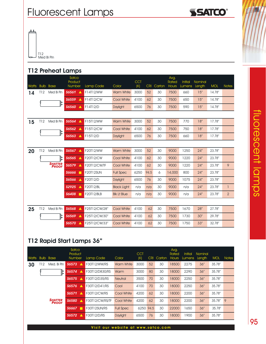

Med Bi Pin

# T12 Preheat Lamps

| Watts |            | <b>Bulb Base</b>               | Satco<br><b>Product</b><br>Number |                  | Lamp Code           | Color              | <b>CCT</b><br>(K) | <b>CRI</b> | Carton | Avg.<br><b>Rated</b><br><b>Hours</b> | Initial<br>Lumens | Nominal<br>Length | <b>MOL</b> | <b>Notes</b>   |
|-------|------------|--------------------------------|-----------------------------------|------------------|---------------------|--------------------|-------------------|------------|--------|--------------------------------------|-------------------|-------------------|------------|----------------|
| 14    | T12        | Med Bi Pin                     | $S6561 \triangle$                 |                  | F14T12/WW           | <b>Warm White</b>  | 3000              | 52         | 30     | 7500                                 | 660               | 15"               | 14.78"     |                |
|       |            | $\mathbb F$                    | S6559                             | $\blacktriangle$ | F14T12/CW           | Cool White         | 4100              | 62         | 30     | 7500                                 | 650               | 15"               | 14.78"     |                |
|       |            |                                | <b>S6560</b>                      | ▲                | F14T12/D            | Daylight           | 6500              | 76         | 30     | 7500                                 | 590               | 15"               | 14.78"     |                |
|       |            |                                |                                   |                  |                     |                    |                   |            |        |                                      |                   |                   |            |                |
| 15    | <b>T12</b> | Med Bi Pin                     | S6564                             | ▲                | F15T12/WW           | <b>Warm White</b>  | 3000              | 52         | 30     | 7500                                 | 770               | 18"               | 17.78"     |                |
|       |            | $\mathbb F$                    | S6562                             | $\blacktriangle$ | F15T12/CW           | Cool White         | 4100              | 62         | 30     | 7500                                 | 750               | 18"               | 17.78"     |                |
|       |            |                                | <b>S6563</b>                      | ▲                | F15T12/D            | Daylight           | 6500              | 76         | 30     | 7500                                 | 660               | 18"               | 17.78"     |                |
|       |            |                                |                                   |                  |                     |                    |                   |            |        |                                      |                   |                   |            |                |
| 20    | T12        | Med Bi Pin                     | S6567                             | $\blacktriangle$ | F20T12/WW           | <b>Warm White</b>  | 3000              | 52         | 30     | 9000                                 | 1250              | 24''              | 23.78"     |                |
|       |            | $\mathbb F$                    | S6565                             | $\blacktriangle$ | F20T12/CW           | Cool White         | 4100              | 62         | 30     | 9000                                 | 1220              | 24''              | 23.78"     |                |
|       |            | <b>SHATTER</b><br><b>PROOF</b> | S6579                             | $\blacktriangle$ | <b>F20T12/CW/TF</b> | Cool White         | 4100              | 62         | 30     | 9000                                 | 1220              | 24''              | 23.78"     | 9              |
|       |            |                                | <b>S6666</b>                      |                  | <b>F20T12SUN</b>    | <b>Full Spec</b>   | 6250              | 94.5       | 6      | 14,000                               | 800               | 24''              | 23.78"     |                |
|       |            |                                | <b>S6566</b>                      | $\blacktriangle$ | F20T12/D            | Daylight           | 6500              | 76         | 30     | 9000                                 | 1075              | 24''              | 23.78"     |                |
|       |            |                                | S2925                             | $\blacktriangle$ | F20T12/BL           | <b>Black Light</b> | n/a               | n/a        | 30     | 9000                                 | n/a               | 24''              | 23.78"     | $\mathbf{1}$   |
|       |            |                                | <b>S6408</b>                      |                  | F20T12/BLB          | <b>Blk Lt Blue</b> | n/a               | n/a        | 30     | 9000                                 | n/a               | 24''              | 23.78"     | $\overline{2}$ |
|       |            |                                |                                   |                  |                     |                    |                   |            |        |                                      |                   |                   |            |                |
| 25    | T12        | Med Bi Pin                     | <b>S6568</b>                      | $\blacktriangle$ | F25T12/CW/28"       | Cool White         | 4100              | 62         | 30     | 7500                                 | 1670              | 28''              | 27.78"     |                |
|       |            | ╠                              | S6569                             | $\blacktriangle$ | F25T12/CW/30"       | Cool White         | 4100              | 62         | 30     | 7500                                 | 1730              | 30"               | 29.78"     |                |
|       |            |                                | <b>S6570</b>                      | ▲                | F25T12/CW/33"       | Cool White         | 4100              | 62         | 30     | 7500                                 | 1750              | 33''              | 32.78"     |                |

# T12 Rapid Start Lamps 36"

| Watts |    | <b>Bulb Base</b>               | Satco<br><b>Product</b><br>Number |                  | Lamp Code           | Color             | <b>CCT</b><br>(K) | <b>CRI</b> | Carton | Avg.<br>Rated<br>Hours | <b>Initial</b><br>Lumens | <b>Nominal</b><br>Length | <b>MOL</b> | <b>Notes</b> |
|-------|----|--------------------------------|-----------------------------------|------------------|---------------------|-------------------|-------------------|------------|--------|------------------------|--------------------------|--------------------------|------------|--------------|
| 30    | 12 | Med. Bi Pin                    | $S6573 \triangle$                 |                  | F30T12/WW/RS        | <b>Warm White</b> | 3000              | 52         | 30     | 18500                  | 2275                     | 36"                      | 35.78"     |              |
|       |    |                                | S6574                             | ▲                | F30T12/D830/RS      | Warm              | 3000              | 80         | 30     | 18000                  | 2290                     | 36"                      | 35.78"     |              |
|       |    |                                | S6575                             | ▲                | F30T12/D35/RS       | <b>Neutral</b>    | 3500              | 70         | 30     | 18000                  | 2250                     | 36"                      | 35.78"     |              |
|       |    |                                | S6576                             | $\blacktriangle$ | F30T12/D41/RS       | Cool              | 4100              | 70         | 30     | 18000                  | 2250                     | 36"                      | 35.78"     |              |
|       |    |                                | S6571                             | $\blacktriangle$ | <b>F30T12/CW/RS</b> | Cool White        | 4200              | 62         | 30     | 18000                  | 2200                     | 36"                      | 35.78"     |              |
|       |    | <b>SHATTER</b><br><b>PROOF</b> | <b>S6580</b>                      | ▲                | F30T12/CW/RS/TF     | Cool White        | 4200              | 62         | 30     | 18000                  | 2200                     | 36"                      | 35.78"     | 9            |
|       |    |                                | S6667                             | ×                | F30T12SUN/RS        | <b>Full Spec</b>  | 6250 94.5         |            | 30     | 22000                  | 1650                     | 36"                      | 35.78"     |              |
|       |    |                                | S6572                             | ▲                | F30T12/D/RS         | Daylight          | 6500              | 76         | 30     | 18000                  | 1900                     | 36"                      | 35.78"     |              |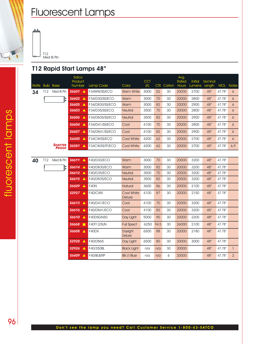

T12 Rapid Start Lamps 48"

| Watts |     | <b>Bulb Base</b>               | Satco<br>Product<br>Number |                  | <b>Lamp Code</b> | Color                       | <b>CCT</b><br>(K) | <b>CRI</b> | Carton | Avg.<br><b>Rated</b><br>Hours | Initial<br><b>Lumens</b> | Nominal<br>Length | MOL Notes |              |
|-------|-----|--------------------------------|----------------------------|------------------|------------------|-----------------------------|-------------------|------------|--------|-------------------------------|--------------------------|-------------------|-----------|--------------|
| 34    | T12 | Med Bi Pin                     | S6601 A                    |                  | F34WW/SS/ECO     | <b>Warm White</b>           | 3000              | 52         | 30     | 20000                         | 2700                     | 48"               | 47.78"    | 6            |
|       |     | ⊫                              | <b>S6602</b>               | ▲                | F34/D30/SS/ECO   | Warm                        | 3000              | 70         | 30     | 20000                         | 2800                     | 48"               | 47.78"    | 6            |
|       |     |                                | <b>S6605</b>               | ▲                | F34/D830/SS/ECO  | Warm                        | 3000              | 82         | 30     | 20000                         | 2900                     | 48"               | 47.78"    | 6            |
|       |     |                                | <b>S6603</b>               | $\blacktriangle$ | F34/D35/SS/ECO   | <b>Neutral</b>              | 3500              | 70         | 30     | 20000                         | 2800                     | 48"               | 47.78"    | 6            |
|       |     |                                | S6606 A                    |                  | F34/D835/SS/ECO  | <b>Neutral</b>              | 3500              | 82         | 30     | 20000                         | 2900                     | 48"               | 47.78"    | 6            |
|       |     |                                | <b>S6604</b>               | ▲                | F34/D41/SS/ECO   | Cool                        | 4100              | 70         | 30     | 20000                         | 2800                     | 48"               | 47.78"    | 6            |
|       |     |                                | S6607 A                    |                  | F34/D841/SS/ECO  | Cool                        | 4100              | 82         | 30     | 20000                         | 2900                     | 48"               | 47.78"    | 6            |
|       |     |                                | S6600 A                    |                  | F34CW/SS/ECO     | Cool White                  | 4200              | 62         | 30     | 20000                         | 2700                     | 48"               | 47.78"    | 6            |
|       |     | <b>SHATTER</b><br><b>PROOF</b> | $S6581 \triangle$          |                  | F34CW/SS/TF/ECO  | Cool White                  | 4200              | 62         | 30     | 20000                         | 2700                     | 48"               | 47.78"    | 6,9          |
|       |     |                                |                            |                  |                  |                             |                   |            |        |                               |                          |                   |           |              |
| 40    | T12 | Med Bi Pin                     | $S6611 \triangle$          |                  | F40/D30/ECO      | Warm                        | 3000              | 70         | 30     | 20000                         | 3200                     | 48"               | 47.78"    |              |
|       |     |                                | S6614                      | $\blacktriangle$ | F40/D830/ECO     | Warm                        | 3000              | 82         | 30     | 20000                         | 3200                     | 48"               | 47.78"    |              |
|       |     |                                | $S6612$ $\triangle$        |                  | F40/D35/ECO      | <b>Neutral</b>              | 3500              | 70         | 30     | 20000                         | 3200                     | 48"               | 47.78"    |              |
|       |     |                                | S6615                      | $\blacktriangle$ | F40/D835/ECO     | <b>Neutral</b>              | 3500              | 82         | 30     | 20000                         | 3200                     | 48"               | 47.78"    |              |
|       |     |                                | S6609 A                    |                  | <b>F40N</b>      | Natural                     | 3600              | 86         | 30     | 20000                         | 2100                     | 48"               | 47.78"    |              |
|       |     |                                | $S2927 \triangle$          |                  | F40/CWX          | Cool White<br><b>Deluxe</b> | 4100              | 87         | 30     | 20000                         | 2150                     | 48"               | 47.78"    |              |
|       |     |                                | $S6613 \triangle$          |                  | F40/D41/ECO      | Cool                        | 4100              | 70         | 30     | 20000                         | 3200                     | 48"               | 47.78"    |              |
|       |     |                                | $S6616$ $\triangle$        |                  | F40/D841/ECO     | Cool                        | 4100              | 82         | 30     | 20000                         | 3200                     | 48"               | 47.78"    |              |
|       |     |                                | $S6610$ $\triangle$        |                  | F40DSGN50        | Day Light                   | 5000              | 90         | 30     | 20000                         | 2200                     | 48"               | 47.78"    |              |
|       |     |                                | <b>S6668</b>               |                  | F40T12/SUN       | <b>Full Spect</b>           | 6250              | 94.5       | 30     | 26000                         | 2100                     | 48"               | 47.78"    |              |
|       |     |                                | <b>S6608</b>               | ▲                | F40DX            | Daylight<br><b>Deluxe</b>   | 6500              | 88         | 30     | 20000                         | 2180                     | 48"               | 47.78"    |              |
|       |     |                                | S2928 A                    |                  | F40/D865         | Day Light                   | 6500              | 80         | 30     | 20000                         | 3000                     | 48"               | 47.78"    |              |
|       |     |                                | S2926                      | $\blacktriangle$ | F40/350BL        | <b>Black Light</b>          | n/a               | n/a        | 30     | 20000                         |                          | 48"               | 47.78"    | $\mathbf{1}$ |
|       |     |                                | S6409                      | $\blacktriangle$ | F40/BLB/RP       | <b>Blk Lt Blue</b>          | n/a               | n/a        | 6      | 20000                         |                          | 48"               | 47.78"    | 2            |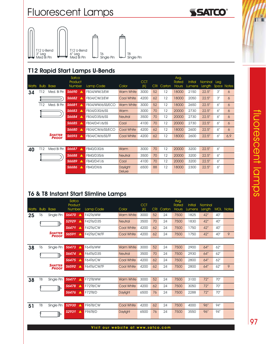

#### T12 Rapid Start Lamps U-Bends

| Watts |     | <b>Bulb Base</b>               | Satco<br>Product<br><b>Number</b> |                      | Lamp Code        | Color                            | <b>CCT</b><br>(K) | <b>CRI</b> | Carton | Avg.<br><b>Rated</b><br>Hours | <b>Initial</b><br>Lumens | Nominal<br>Length | Leg                | Space Notes |
|-------|-----|--------------------------------|-----------------------------------|----------------------|------------------|----------------------------------|-------------------|------------|--------|-------------------------------|--------------------------|-------------------|--------------------|-------------|
| 34    | T12 | Med. Bi Pin                    | S6690                             | ▲                    | FB34/WW/3/EW     | <b>Warm White</b>                | 3000              | 52         | 12     | 18000                         | 2150                     | 22.5''            | $3^{\prime\prime}$ | 6           |
|       |     |                                | S6682                             | $\blacktriangle$     | FB34/CW/3/EW     | Cool White                       | 4200              | 62         | 12     | 18000                         | 2050                     | 22.5''            | 3''                | 6           |
|       | T12 | Med. Bi Pin                    | S6681                             | ▲                    | FB34/WW/6/SS/ECO | <b>Warm White</b>                | 3000              | 52         | 12     | 18000                         | 2650                     | 22.5''            | 6''                | 6           |
|       |     |                                | S6683                             | ▲                    | FB34/D30/6/SS    | Warm                             | 3000              | 70         | 12     | 20000                         | 2730                     | 22.5''            | 6''                | 6           |
|       |     |                                | S6684                             | ▲                    | FB34/D35/6/SS    | <b>Neutral</b>                   | 3500              | 70         | 12     | 20000                         | 2730                     | 22.5''            | 6''                | 6           |
|       |     |                                | <b>S6685</b>                      | ▲                    | FB34/D41/6/SS    | Cool                             | 4100              | 70         | 12     | 20000                         | 2730                     | 22.5''            | 6''                | 6           |
|       |     |                                | <b>S6680</b>                      | $\blacktriangle$     | FB34/CW/6/SS/ECO | Cool White                       | 4200              | 62         | 12     | 18000                         | 2600                     | 22.5''            | 6''                | 6           |
|       |     | <b>SHATTER</b><br><b>PROOF</b> | S6593                             | $\blacktriangle$     | FB34/CW/6/SS/TF  | Cool White                       | 4200              | 62         | 12     | 18000                         | 2600                     | 22.5''            | 6''                | 6,9         |
|       |     |                                |                                   |                      |                  |                                  |                   |            |        |                               |                          |                   |                    |             |
| 40    | T12 | Med Bi Pin                     | S6687                             | $\blacktriangledown$ | FB40/D30/6       | Warm                             | 3000              | 70         | 12     | 20000                         | 3200                     | 22.5''            | 6''                |             |
|       |     |                                | S6688                             | $\blacktriangle$     | FB40/D35/6       | <b>Neutral</b>                   | 3500              | 70         | 12     | 20000                         | 3200                     | 22.5''            | 6''                |             |
|       |     |                                | S6689                             | $\blacktriangle$     | FB40/D41/6       | Cool                             | 4100              | 70         | 12     | 20000                         | 3200                     | 22.5''            | 6''                |             |
|       |     |                                | <b>S6686</b>                      | ▲                    | FB40/DX/6        | <b>Daylight</b><br><b>Deluxe</b> | 6500              | 88         | 12     | 18000                         | 2300                     | 22.5''            | 6''                |             |

#### T6 & T8 Instant Start Slimline Lamps

| Watts | <b>Bulb</b>    | <b>Base</b>                    | Satco<br>Product<br><b>Number</b> |                  | Lamp Code          | Color             | <b>CCT</b><br>(K) | <b>CRI</b> | Carton | Avg.<br>Rated<br><b>Hours</b> | Initial<br>Lumens | Nominal<br>Length |                  | <b>MOL</b> Notes |
|-------|----------------|--------------------------------|-----------------------------------|------------------|--------------------|-------------------|-------------------|------------|--------|-------------------------------|-------------------|-------------------|------------------|------------------|
| 25    | T6             | Single Pin                     | <b>S6470</b>                      | ▲                | F42T6/WW           | <b>Warm White</b> | 3000              | 52         | 24     | 7500                          | 1825              | 42"               | 40"              |                  |
|       |                | lЬ                             | S2929                             | $\blacktriangle$ | F42T6/D35          | <b>Neutral</b>    | 3500              | 70         | 24     | 7500                          | 1830              | 42"               | 40 <sup>''</sup> |                  |
|       |                |                                | S6471                             | $\blacktriangle$ | <b>F42T6/CW</b>    | Cool White        | 4200              | 62         | 24     | 7500                          | 1750              | 42"               | 40 <sup>''</sup> |                  |
|       |                | <b>SHATTER</b><br><b>PROOF</b> | S6591                             | ▲                | <b>F42T6/CW/TF</b> | Cool White        | 4200              | 62         | 24     | 7500                          | 1750              | 42"               | 40"              | 9                |
|       |                |                                |                                   |                  |                    |                   |                   |            |        |                               |                   |                   |                  |                  |
| 38    | T6             | Single Pin                     | S6473                             | ▲                | F64T6/WW           | <b>Warm White</b> | 3000              | 52         | 24     | 7500                          | 2900              | 64"               | 62''             |                  |
|       |                | lЬ                             | S6474                             | ▲                | F64T6/D35          | <b>Neutral</b>    | 3500              | 70         | 24     | 7500                          | 2930              | 64"               | 62''             |                  |
|       |                |                                | <b>S6475</b>                      | ◢                | <b>F64T6/CW</b>    | Cool White        | 4200              | 62         | 24     | 7500                          | 2800              | 64"               | 62''             |                  |
|       |                | <b>SHATTER</b><br><b>PROOF</b> | S6592                             | ◢                | F64T6/CW/TF        | Cool White        | 4200              | 62         | 24     | 7500                          | 2800              | 64"               | 62"              | 9                |
|       |                |                                |                                   |                  |                    |                   |                   |            |        |                               |                   |                   |                  |                  |
| 38    | T <sub>8</sub> | Single Pin                     | S6477                             | ▲                | F72T8/WW           | <b>Warm White</b> | 3000              | 52         | 24     | 7500                          | 3100              | 72"               | 70"              |                  |
|       |                | lЬ                             | <b>S6478</b>                      | ▲                | <b>F72T8/CW</b>    | Cool White        | 4200              | 62         | 24     | 7500                          | 3050              | 72"               | 70''             |                  |
|       |                |                                | S6476                             | ▲                | F72T8/D            | Daylight          | 6500              | 76         | 24     | 7500                          | 2288              | 72"               | 70''             |                  |
|       |                |                                |                                   |                  |                    |                   |                   |            |        |                               |                   |                   |                  |                  |
| 51    | T <sub>8</sub> | Single Pin                     | <b>S2930</b>                      | ▲                | <b>F96T8/CW</b>    | Cool White        | 4200              | 62         | 24     | 7500                          | 4000              | 96"               | 94"              |                  |
|       |                | I⊫                             | S2931                             | $\blacktriangle$ | F96T8/D            | Daylight          | 6500              | 76         | 24     | 7500                          | 3550              | 96"               | 94"              |                  |
|       |                |                                |                                   |                  |                    |                   |                   |            |        |                               |                   |                   |                  |                  |

# fluorescent lamps 97fluorescent lamps

97

**SSATCO®** 

Visit our website at www.satco.com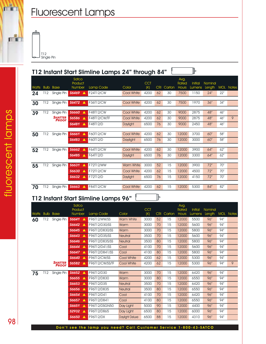



|       |     |                                              |                                       |                            | T12 Instant Start Slimline Lamps 24" through 84" |                                             |                      |                |                |                               | ℔                    |                    |                    |                  |
|-------|-----|----------------------------------------------|---------------------------------------|----------------------------|--------------------------------------------------|---------------------------------------------|----------------------|----------------|----------------|-------------------------------|----------------------|--------------------|--------------------|------------------|
| Watts |     | <b>Bulb Base</b>                             | Satco<br>Product<br><b>Number</b>     |                            | Lamp Code                                        | Color                                       | <b>CCT</b><br>(K)    | <b>CRI</b>     | Carton         | Avg.<br><b>Rated</b><br>Hours | Initial<br>Lumens    | Nominal<br>Length  |                    | <b>MOL</b> Notes |
| 24    | T12 | Single Pin                                   | S6469                                 | $\blacktriangle$           | <b>F24T12/CW</b>                                 | Cool White                                  | 4200                 | 62             | 30             | 7500                          | 1150                 | 24''               | 22"                |                  |
| 30    | T12 | Single Pin                                   | S6472                                 | $\blacktriangle$           | <b>F36T12/CW</b>                                 | Cool White                                  | 4200                 | 62             | 30             | 7500                          | 1970                 | 36''               | 34''               |                  |
| 39    | T12 | Single Pin<br><b>SHATTER</b><br><b>PROOF</b> | <b>S6660</b><br><b>S6586</b><br>S6481 | ▲<br>▲<br>▲                | <b>F48T12/CW</b><br>F48T12/CW/TF<br>F48T12/D     | Cool White<br>Cool White<br>Daylight        | 4200<br>4200<br>6500 | 62<br>62<br>76 | 30<br>30<br>30 | 9000<br>9000<br>9000          | 2875<br>2875<br>2450 | 48''<br>48"<br>48" | 46"<br>46"<br>46"  | 9                |
| 50    | T12 | Single Pin                                   | S6661<br><b>S6483</b>                 | $\blacktriangle$<br>▲      | F60T12/CW<br>F60T12/D                            | Cool White<br><b>Daylight</b>               | 4200<br>6500         | 62<br>76       | 30<br>30       | 12000<br>12000                | 3700<br>3000         | 60''<br>60''       | 58''<br>58"        |                  |
| 52    | T12 | Single Pin                                   | S6662<br><b>S6485</b>                 | $\blacktriangle$<br>▲      | F64T12/CW<br>F64T12/D                            | Cool White<br>Daylight                      | 4200<br>6500         | 62<br>76       | 30<br>30       | 12000<br>12000                | 3900<br>3300         | 64''<br>64''       | 62''<br>62"        |                  |
| 55    | T12 | Single Pin                                   | S6631<br><b>S6630</b><br>S6632        | $\blacktriangle$<br>▲<br>▲ | F72T12/WW<br>F72T12/CW<br>F72T12/D               | <b>Warm White</b><br>Cool White<br>Daylight | 3000<br>4200<br>6500 | 52<br>62<br>76 | 15<br>15<br>15 | 12000<br>12000<br>12000       | 3900<br>4500<br>4150 | 72"<br>72"<br>72"  | 70''<br>70"<br>70" |                  |
| 70    | T12 | Single Pin                                   | S6663                                 | ▲                          | <b>F84T12/CW</b>                                 | Cool White                                  | 4200                 | 62             | 15             | 12000                         | 5300                 | 84"                | 82''               |                  |

 $\mathbb{P}$ 

# T12 Instant Start Slimline Lamps 96"

| Watts |     | <b>Bulb Base</b>               | Satco<br>Product<br><b>Number</b> |                          | Lamp Code       | Color                  | <b>CCT</b><br>(K) | <b>CRI</b> | Carton | Avg.<br>Rated<br>Hours | <b>Initial</b><br>Lumens | Nominal<br>Length |      | <b>MOL</b> Notes |
|-------|-----|--------------------------------|-----------------------------------|--------------------------|-----------------|------------------------|-------------------|------------|--------|------------------------|--------------------------|-------------------|------|------------------|
| 60    | T12 | Single Pin                     | S6641                             | $\overline{\phantom{a}}$ | F96T12/WW/SS    | <b>Warm White</b>      | 3000              | 52         | 15     | 12000                  | 5500                     | 96"               | 94"  |                  |
|       |     |                                | S6642                             | $\blacktriangle$         | F96T12/D30/SS   | Warm                   | 3000              | 70         | 15     | 12000                  | 5600                     | 96"               | 94"  |                  |
|       |     |                                | S6645                             | ▲                        | F96T12/D830/SS  | Warm                   | 3000              | 70         | 15     | 12000                  | 5800                     | 96"               | 94"  |                  |
|       |     |                                | S6643                             | ◢                        | F96T12/D35/SS   | <b>Neutral</b>         | 3500              | 70         | 15     | 12000                  | 5600                     | 96"               | 94'' |                  |
|       |     |                                | S6646                             | ▲                        | F96T12/D835/SS  | <b>Neutral</b>         | 3500              | 80         | 15     | 12000                  | 5800                     | 96"               | 94'' |                  |
|       |     |                                | S6644                             | ▲                        | F96T12/D41/SS   | Cool                   | 4100              | 70         | 15     | 12000                  | 5600                     | 96"               | 94'' |                  |
|       |     |                                | S6647                             | ▲                        | F96T12/D841/SS  | Cool                   | 4100              | 80         | 15     | 12000                  | 5800                     | 96"               | 94'' |                  |
|       |     |                                | <b>S6640</b>                      | ▲                        | F96T12/CW/SS    | Cool White             | 4200              | 62         | 15     | 12000                  | 5300                     | 96"               | 94'' |                  |
|       |     | <b>SHATTER</b><br><b>PROOF</b> | S6582                             | $\blacktriangle$         | F96T12/CW/SS/TF | Cool White             | 4200              | 62         | 15     | 12000                  | 5300                     | 96"               | 94"  | 9                |
| 75    | T12 | Single Pin                     | S6652                             | ▲                        | F96T12/D30      | Warm                   | 3000              | 70         | 15     | 12000                  | 6420                     | 96"               | 94"  |                  |
|       |     |                                | <b>S6655</b>                      | ▲                        | F96T12/D830     | Warm                   | 3000              | 80         | 15     | 12000                  | 6550                     | 96"               | 94'' |                  |
|       |     |                                | S6653                             | ▲                        | F96T12/D35      | <b>Neutral</b>         | 3500              | 70         | 15     | 12000                  | 6420                     | 96"               | 94'' |                  |
|       |     |                                | <b>S6656</b>                      | ▲                        | F96T12/D835     | <b>Neutral</b>         | 3500              | 80         | 15     | 12000                  | 6550                     | 96"               | 94'' |                  |
|       |     |                                | S6654                             | ▲                        | F96T12/D41      | Cool                   | 4100              | 70         | 15     | 12000                  | 6420                     | 96"               | 94"  |                  |
|       |     |                                | S6657                             | ▲                        | F96T12/D841     | Cool                   | 4100              | 80         | 15     | 12000                  | 6550                     | 96"               | 94'' |                  |
|       |     |                                | S6651                             | ▲                        | F96T12/DSGN50   | Day Light              | 5000              | 90         | 15     | 12000                  | 4400                     | 96"               | 94'' |                  |
|       |     |                                | S2932                             | ◢                        | F96T12/D865     | Day Light              | 6500              | 80         | 15     | 12000                  | 6000                     | 96"               | 94"  |                  |
|       |     |                                | <b>S6650</b>                      | ◢                        | F96T12/DX       | <b>Daylight Deluxe</b> | 6500              | 88         | 15     | 12000                  | 4310                     | 96"               | 94'' |                  |

**A to** 

 $\mathbf{r}$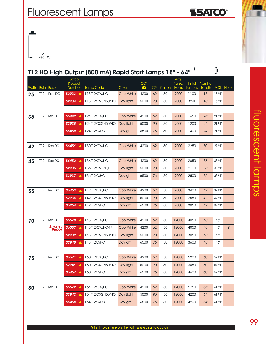T12 Rec DC

|       |     |                         |                            |                  | T12 HO High Output (800 mA) Rapid Start Lamps 18" - 64" |            |                   |            |        |                               |                          |                   |         |                  |
|-------|-----|-------------------------|----------------------------|------------------|---------------------------------------------------------|------------|-------------------|------------|--------|-------------------------------|--------------------------|-------------------|---------|------------------|
| Watts |     | <b>Bulb Base</b>        | Satco<br>Product<br>Number |                  | Lamp Code                                               | Color      | <b>CCT</b><br>(K) | <b>CRI</b> | Carton | Avg.<br><b>Rated</b><br>Hours | <b>Initial</b><br>Lumens | Nominal<br>Length |         | <b>MOL</b> Notes |
| 25    | T12 | Rec DC                  | S2933                      |                  | <b>F18T12/CW/HO</b>                                     | Cool White | 4200              | 62         | 30     | 9000                          | 1100                     | 18"               | 15.91'' |                  |
|       |     |                         | S2934                      | ▲                | F18T12/DSGN50/HO                                        | Day Light  | 5000              | 90         | 30     | 9000                          | 850                      | 18"               | 15.91'' |                  |
|       |     |                         |                            |                  |                                                         |            |                   |            |        |                               |                          |                   |         |                  |
| 35    | T12 | Rec DC                  | S6449                      | ▲                | <b>F24T12/CW/HO</b>                                     | Cool White | 4200              | 62         | 30     | 9000                          | 1650                     | 24''              | 21.91'' |                  |
|       |     |                         | S2935                      | ▲                | F24T12/DSGN50/HO                                        | Day Light  | 5000              | 90         | 30     | 9000                          | 1200                     | 24''              | 21.91"  |                  |
|       |     |                         | <b>S6450</b>               | ▲                | F24T12/D/HO                                             | Daylight   | 6500              | 76         | 30     | 9000                          | 1400                     | 24''              | 21.91"  |                  |
|       |     |                         |                            |                  |                                                         |            |                   |            |        |                               |                          |                   |         |                  |
| 42    | T12 | Rec DC                  | S6451                      | ◢                | F30T12/CW/HO                                            | Cool White | 4200              | 62         | 30     | 9000                          | 2250                     | 30"               | 27.91'' |                  |
|       |     |                         |                            |                  |                                                         |            |                   |            |        |                               |                          |                   |         |                  |
| 45    | T12 | Rec DC                  | S6452                      | ◢                | F36T12/CW/HO                                            | Cool White | 4200              | 62         | 30     | 9000                          | 2850                     | 36"               | 33.91"  |                  |
|       |     |                         | S2936                      | ▲                | F36T12/DSG50/HO                                         | Day Light  | 5000              | 90         | 30     | 9000                          | 2100                     | 36"               | 33.91"  |                  |
|       |     |                         | S2937                      | ▲                | F36T12/D/HO                                             | Daylight   | 6500              | 76         | 30     | 9000                          | 2500                     | 36''              | 33.91"  |                  |
|       |     |                         |                            |                  |                                                         |            |                   |            |        |                               |                          |                   |         |                  |
| 55    | T12 | Rec DC                  | S6453                      | ▲                | <b>F42T12/CW/HO</b>                                     | Cool White | 4200              | 62         | 30     | 9000                          | 3400                     | 42"               | 39.91'' |                  |
|       |     |                         | S2938                      | ▲                | F42T12/DSGN50/HO                                        | Day Light  | 5000              | 90         | 30     | 9000                          | 2550                     | 42"               | 39.91'' |                  |
|       |     |                         | S6954                      | ▲                | F42T12/D/HO                                             | Daylight   | 6500              | 76         | 30     | 9000                          | 3050                     | 42"               | 39.91"  |                  |
|       |     |                         |                            |                  |                                                         |            |                   |            |        |                               |                          |                   |         |                  |
| 70    | T12 | Rec DC                  | <b>S6670</b>               | ▲                | F48T12/CW/HO                                            | Cool White | 4200              | 62         | 30     | 12000                         | 4050                     | 48"               | 46"     |                  |
|       |     | SHATTER<br><b>PROOF</b> | <b>S6587</b>               | ▲                | F48T12/CW/HO/TF                                         | Cool White | 4200              | 62         | 30     | 12000                         | 4050                     | 48"               | 46"     | 9                |
|       |     |                         | S2939                      | ▲                | F48T12/DSGN50/HO                                        | Day Light  | 5000              | 90         | 30     | 12000                         | 3050                     | 48"               | 46"     |                  |
|       |     |                         | <b>S2940</b>               | ▲                | F48T12/D/HO                                             | Daylight   | 6500              | 76         | 30     | 12000                         | 3600                     | 48"               | 46"     |                  |
|       |     |                         |                            |                  |                                                         |            |                   |            |        |                               |                          |                   |         |                  |
| 75    | T12 | Rec DC                  | S6671                      | ◢                | <b>F60T12/CW/HO</b>                                     | Cool White | 4200              | 62         | 30     | 12000                         | 5200                     | 60"               | 57.91'' |                  |
|       |     |                         | S2941                      | $\blacktriangle$ | F60T12/DSGN50/HO                                        | Day Light  | 5000              | 90         | 30     | 12000                         | 3850                     | 60"               | 57.91'' |                  |
|       |     |                         | S6457                      | ▲                | F60T12/D/HO                                             | Daylight   | 6500              | 76         | 30     | 12000                         | 4600                     | 60"               | 57.91'' |                  |
|       |     |                         |                            |                  |                                                         |            |                   |            |        |                               |                          |                   |         |                  |
| 80    |     | T12 Rec DC              | $S6672 \triangle$          |                  | F64T12/CW/HO                                            | Cool White | 4200              | 62         | 30     | 12000                         | 5750                     | 64"               | 61.91'' |                  |
|       |     |                         | S2942                      | ▲                | F64T12/DSGN50/HO                                        | Day Light  | 5000              | 90         | 30     | 12000                         | 4200                     | 64"               | 61.91'' |                  |
|       |     |                         | S6458                      | ▲                | F64T12/D/HO                                             | Daylight   | 6500              | 76         | 30     | 12000                         | 4900                     | 64"               | 61.91"  |                  |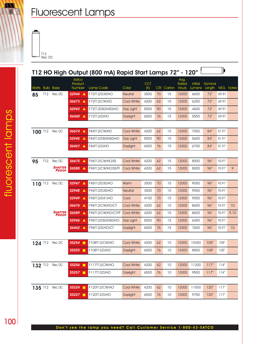

|         |     |                         |                                   |   | T12 HO High Output (800 mA) Rapid Start Lamps 72" - 120" |                |                   |            |        |                               |                          |                   | ╟       |                  |
|---------|-----|-------------------------|-----------------------------------|---|----------------------------------------------------------|----------------|-------------------|------------|--------|-------------------------------|--------------------------|-------------------|---------|------------------|
| Watts   |     | <b>Bulb Base</b>        | Satco<br>Product<br><b>Number</b> |   | <b>Lamp Code</b>                                         | Color          | <b>CCT</b><br>(K) | <b>CRI</b> | Carton | Avg.<br><b>Rated</b><br>Hours | <b>Initial</b><br>Lumens | Nominal<br>Length |         | <b>MOL</b> Notes |
| 85      | T12 | Rec DC                  | S2944                             | ▲ | F72T12/D35/HO                                            | <b>Neutral</b> | 3500              | 70         | 15     | 12000                         | 6650                     | 72"               | 69.91   |                  |
|         |     |                         | S6673                             | ▲ | <b>F72T12/CW/HO</b>                                      | Cool White     | 4200              | 62         | 15     | 12000                         | 6250                     | 72"               | 69.91   |                  |
|         |     |                         | S2943                             | ▲ | F72T12DSGN50/HO                                          | Day Light      | 5000              | 90         | 15     | 12000                         | 4600                     | 72"               | 69.91   |                  |
|         |     |                         | <b>S6460</b>                      | ▲ | <b>F72T12/D/HO</b>                                       | Daylight       | 6500              | 76         | 15     | 12000                         | 5550                     | 72"               | 69.91   |                  |
| 100 T12 |     | Rec DC                  | S6674                             | ▲ | <b>F84T12/CW/HO</b>                                      | Cool White     | 4200              | 62         | 15     | 12000                         | 7550                     | 84"               | 81.91'' |                  |
|         |     |                         | S2945                             | ▲ | F84T12/DSGN50/HO                                         | Day Light      | 5000              | 90         | 15     | 12000                         | 5600                     | 84"               | 81.91'' |                  |
|         |     |                         | S6461                             | ▲ | <b>F84T12/D/HO</b>                                       | Daylight       | 6500              | 76         | 15     | 12000                         | 6700                     | 84"               | 81.91'' |                  |
|         |     |                         |                                   |   |                                                          |                |                   |            |        |                               |                          |                   |         |                  |
| 95      | T12 | Rec DC                  | S6675                             |   | F96T12/CW/HO/SS                                          | Cool White     | 4200              | 62         | 15     | 12000                         | 8000                     | 96"               | 93.91"  |                  |
|         |     | SHATTER<br><b>PROOF</b> | S6588                             | ▲ | F96T12/CW/HO/SS/TF                                       | Cool White     | 4200              | 62         | 15     | 12000                         | 8000                     | 96"               | 93.91"  | 9                |
|         |     |                         |                                   |   |                                                          |                |                   |            |        |                               |                          |                   |         |                  |
| 110 T12 |     | Rec DC                  | S2947                             | ▲ | F96T12/D30/HO                                            | Warm           | 3000              | 70         | 15     | 12000                         | 9050                     | 96"               | 93.91"  |                  |
|         |     |                         | S2948                             | ▲ | F96T12/D35/HO                                            | <b>Neutral</b> | 3500              | 70         | 15     | 12000                         | 9050                     | 96"               | 93.91"  |                  |
|         |     |                         | S2949                             | ▲ | F96T12/D41/HO                                            | Cool           | 4100              | 70         | 15     | 12000                         | 9050                     | 96"               | 93.91"  |                  |
|         |     |                         | S6676                             | ▲ | F96T12/CW/HO/CT                                          | Cool White     | 4200              | 62         | 15     | 12000                         | 8600                     | 96"               | 93.91"  | 10               |
|         |     | SHATTER<br><b>PROOF</b> | S6589                             | ▲ | F96T12/CW/HO/CT/TF                                       | Cool White     | 4200              | 62         | 15     | 12000                         | 8600                     | 96"               | 93.91"  | 9,10             |
|         |     |                         | S2946                             | ▲ | <b>F96T12/DSGN50/HO</b>                                  | Day Light      | 5000              | 90         | 15     | 12000                         | 6450                     | 96"               | 93.91"  |                  |
|         |     |                         | S6462                             | ▲ | F96T12/D/HO/CT                                           | Daylight       | 6500              | 76         | 15     | 12000                         | 7600                     | 96"               | 93.91"  | 10               |
|         |     | Rec DC                  | S5254                             | ▬ | F108T12/CW/HO                                            | Cool White     | 4200              | 62         | 10     | 12000                         | 10350                    | 108''             | 105''   |                  |
| 124 112 |     |                         | <b>S5255</b>                      | п | F108T12/D/HO                                             | Daylight       | 6500              | 76         | 10     | 12000                         | 8800                     | 108''             | 105''   |                  |
|         |     |                         |                                   |   |                                                          |                |                   |            |        |                               |                          |                   |         |                  |
|         |     | 132 T12 Rec DC          | S5256                             |   | <b>F117T12/CW/HO</b>                                     | Cool White     | 4200              | 62         | 10     | 12000                         | 11200                    | 117''             | 114"    |                  |
|         |     |                         | S5257                             |   | F117T12/D/HO                                             | Daylight       | 6500              | 76         | 10     | 12000                         | 9500                     | 117''             | 114''   |                  |
|         |     |                         |                                   |   |                                                          |                |                   |            |        |                               |                          |                   |         |                  |
|         |     | 135 T12 Rec DC          | S5224                             |   | F120T12/CW/HO                                            | Cool White     | 4200              | 62         | 10     | 12000                         | 11500                    | 120''             | 117"    |                  |
|         |     |                         | S5227                             |   | F120T12/D/HO                                             | Daylight       | 6500              | 76         | 10     | 12000                         | 9750                     | 120"              | $117''$ |                  |

fluorescent lamps

fluorescent lamps

AND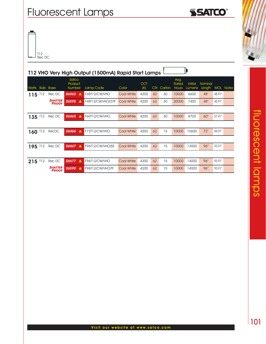

T12 Rec DC

|       |             |                                |                                   | T12 VHO Very High Output (1500mA) Rapid Start Lamps |            |                   |            |        |                        |                          |                   |         |                  |
|-------|-------------|--------------------------------|-----------------------------------|-----------------------------------------------------|------------|-------------------|------------|--------|------------------------|--------------------------|-------------------|---------|------------------|
| Watts | <b>Bulb</b> | <b>Base</b>                    | Satco<br>Product<br><b>Number</b> | Lamp Code                                           | Color      | <b>CCT</b><br>(K) | <b>CRI</b> | Carton | Avg.<br>Rated<br>Hours | <b>Initial</b><br>Lumens | Nominal<br>Length |         | <b>MOL</b> Notes |
| 5     | T12         | Rec DC                         | S6463<br>▲                        | F48T12/CW/VHO                                       | Cool White | 4200              | 62         | 30     | 10000                  | 6600                     | 48"               | 45.91"  |                  |
|       |             | <b>SHATTER</b><br><b>PROOF</b> | S6595<br>$\blacktriangle$         | F48T12/CW/VHO/LT/TF                                 | Cool White | 4200              | 62         | 30     | 20000                  | 7400                     | 48"               | 45.91"  |                  |
|       |             |                                |                                   |                                                     |            |                   |            |        |                        |                          |                   |         |                  |
| 135   | T12         | Rec DC                         | S6465<br>▲                        | F60T12/CW/VHO                                       | Cool White | 4200              | 62         | 30     | 10000                  | 8700                     | 60"               | 57.91'' |                  |
|       |             |                                |                                   |                                                     |            |                   |            |        |                        |                          |                   |         |                  |
| 160   | T12         | RecDC                          | <b>S6466</b><br>▲                 | F72T12/CW/VHO                                       | Cool White | 4200              | 62         | 15     | 10000                  | 10600                    | 72"               | 69.91"  |                  |
|       |             |                                |                                   |                                                     |            |                   |            |        |                        |                          |                   |         |                  |
| 195   | T12         | Rec DC                         | S6467<br>▲                        | F96T12/CW/VHO/SS                                    | Cool White | 4200              | 62         | 15     | 10000                  | 13000                    | 96"               | 93.91"  |                  |
|       |             |                                |                                   |                                                     |            |                   |            |        |                        |                          |                   |         |                  |
| 215   | <b>T12</b>  | Rec DC                         | S6677<br>$\blacktriangle$         | F96T12/CW/VHO                                       | Cool White | 4200              | 62         | 15     | 10000                  | 14000                    | 96"               | 93.91"  |                  |
|       |             | <b>SHATTER</b><br><b>PROOF</b> | <b>S6590</b><br>▲                 | F96T12/CW/VHO/TF                                    | Cool White | 4200              | 62         | 15     | 10000                  | 14000                    | 96"               | 93.91"  |                  |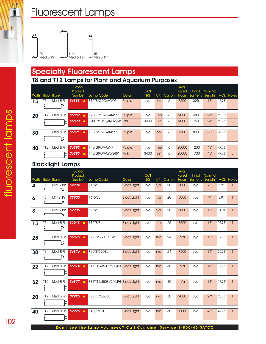

fluorescent lamps

fluorescent lamps

# Fluorescent Lamps



# Specialty Fluorescent Lamps T8 and T12 Lamps for Plant and Aquarium Purposes

| Watts |                | <b>Bulb Base</b> | Satco<br>Product<br><b>Number</b> | Lamp Code           | Color  | <b>CCT</b><br>(K) |    | CRI Carton | Avg.<br>Rated<br>Hours | <b>Initial</b><br>Lumens | <b>Nominal</b><br>Length |        | <b>MOL</b> Notes |
|-------|----------------|------------------|-----------------------------------|---------------------|--------|-------------------|----|------------|------------------------|--------------------------|--------------------------|--------|------------------|
| 15    | T <sub>8</sub> | Med Bi Pin<br>ቴ  | <b>S6888</b><br>▲                 | F15T8/GRO/AQ/RP     | Purple | n/a               | 66 | 6          | 7500                   | 325                      | 18"                      | 17.78" |                  |
| 20    | T12            | Med Bi Pin       | S6889<br>$\blacktriangle$         | F20T12/GRO/AQ/RP    | Purple | n/a               | 66 | 6          | 9000                   | 480                      | 24"                      | 23.78" |                  |
|       |                | ⊪<br>⊪           | S6890<br>$\blacktriangle$         | F20T12/GRO/AQ/WS/RP | Pink   | 3400              | 89 | 6          | 9000                   | 750                      | 24''                     | 23.78" | 8                |
| 30    | T <sub>8</sub> | Med Bi Pin       | S6891 A                           | F30T8/GRO/AQ/RP     | Purple | n/a               | 66 | 6          | 7500                   | 800                      | 36"                      | 35.78" |                  |
|       |                | ء 'ا             |                                   |                     |        |                   |    |            |                        |                          |                          |        |                  |
| 40    | T12            | Med Bi Pin       | S6892<br>▲                        | F40/GRO/AQ/RP       | Purple | n/a               | 66 | 6          | 20000                  | 1200                     | 48"                      | 47.78" |                  |
|       |                | ⊫                | <b>S6893</b><br>▲                 | F40/GRO/AQ/WS/RP    | Pink   | 3400              | 89 | 6          | 20000                  | 700                      | 48"                      | 47.78" | $\mathcal{B}$    |

#### Blacklight Lamps

| Watts |                | <b>Bulb Base</b>  | Satco<br>Product<br>Number | Lamp Code                        | Color              | <b>CCT</b><br>(K) | <b>CRI</b> | Carton | Avg.<br><b>Rated</b><br>Hours | Initial<br>Lumens | Nominal<br>Length |         | <b>MOL</b> Notes |
|-------|----------------|-------------------|----------------------------|----------------------------------|--------------------|-------------------|------------|--------|-------------------------------|-------------------|-------------------|---------|------------------|
| 4     | T <sub>5</sub> | Mini Bi Pin<br>℡  | S2904                      | <b>F4T5/BL</b>                   | <b>Black Light</b> | n/a               | n/a        | 20     | 5000                          | n/a               | 6"                | 5.91''  | $\mathbf{1}$     |
| 6     | T <sub>5</sub> | Mini Bi Pin<br>ד⊑ | S2905                      | F6T5/BL                          | <b>Black Light</b> | n/a               | n/a        | 20     | 5000                          | n/a               | 9''               | 8.91"   | $\mathbf{1}$     |
| 8     | T <sub>5</sub> | Mini Bi Pin<br>飞  | <b>S2906</b>               | <b>F8T5/BL</b>                   | <b>Black Light</b> | n/a               | n/a        | 20     | 5000                          | n/a               | 12"               | 11.91'' | $\mathbf{1}$     |
| 15    | T <sub>8</sub> | Med Bi Pin<br>℔   | S2918                      | F15T8/BL                         | <b>Black Light</b> | n/a               | n/a        | 25     | 7500                          | n/a               | 18"               | 17.78'' | $\mathbf{1}$     |
| 25    | T <sub>8</sub> | Med Bi Pin<br>℔   | $S6875 \triangle$          | F25T8/350BL/18in                 | <b>Black Light</b> | n/a               | n/a        | 24     | n/a                           | n/a               | 18"               | 17.78'' | $\mathbf{1}$     |
| 30    | T <sub>8</sub> | Med Bi Pin<br>١Þ  | $S6876$ $\triangle$        | F30T8/350BL                      | <b>Black Light</b> | n/a               | n/a        | 24     | 7500                          | n/a               | 36"               | 35.78"  | $\mathbf{1}$     |
| 22    | T12            | Med Bi Pin<br>╠   | $S6874 \triangle$          | F15"T12/350BL/500/PH Black Light |                    | n/a               | n/a        | 30     | n/a                           | n/a               | 15''              | 17.78'' | $\mathbf{1}$     |
| 32    | T12            | Med Bi Pin<br>╠   | S6877 $\triangle$          | F18"T12/350BL/700/PH Black Light |                    | n/a               | n/a        | 30     | n/a                           | n/a               | 18"               | 17.78'' | $\mathbf{1}$     |
| 20    | <b>T12</b>     | Med Bi Pin<br>⊫   | $S2925 \triangle$          | F20T12/350BL                     | <b>Black Light</b> | n/a               | n/a        | 30     | 9000                          | n/a               | 24''              | 23.78"  | 1.               |
| 40    | T12            | Med Bi Pin<br>⊫   | $S2926 \triangle$          | F40/350BL                        | <b>Black Light</b> | n/a               | n/a        | 30     | 20000                         | n/a               | 48"               | 47.78"  | $\mathbf{1}$     |

102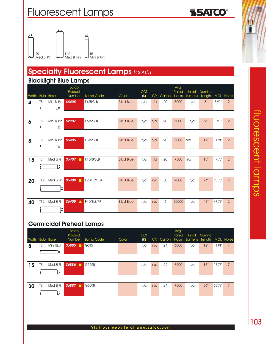T5 Mini Bi Pin T8 Med Bi Pin T12 Med Bi Pin

#### **Specialty Fluorescent Lamps (cont.)** Blacklight Blue Lamps

|       |                |                   | <b>DIUCKIIGHII DIUU LUITIPS</b> |            |                    |                   |            |        |                               |                          |                   |         |                  |
|-------|----------------|-------------------|---------------------------------|------------|--------------------|-------------------|------------|--------|-------------------------------|--------------------------|-------------------|---------|------------------|
| Watts |                | <b>Bulb Base</b>  | Satco<br>Product<br>Number      | Lamp Code  | Color              | <b>CCT</b><br>(K) | <b>CRI</b> | Carton | Avg.<br><b>Rated</b><br>Hours | <b>Initial</b><br>Lumens | Nominal<br>Length |         | <b>MOL</b> Notes |
| 4     | T <sub>5</sub> | Mini Bi Pin<br>℡  | <b>S6405</b>                    | F4T5/BLB   | <b>Blk Lt Blue</b> | n/a               | n/a        | 20     | 5000                          | n/a                      | 6"                | 5.91''  | 2                |
|       |                |                   |                                 |            |                    |                   |            |        |                               |                          |                   |         |                  |
| 6     | T <sub>5</sub> | Mini Bi Pin<br>Γ} | <b>S2907</b>                    | F6T5/BLB   | <b>Blk Lt Blue</b> | n/a               | n/a        | 20     | 5000                          | n/a                      | 9''               | 8.91"   | $\overline{2}$   |
|       |                |                   |                                 |            |                    |                   |            |        |                               |                          |                   |         |                  |
| 8     | T <sub>5</sub> | Mini Bi Pin<br>厄  | <b>S6406</b>                    | F8T5/BLB   | <b>Blk Lt Blue</b> | n/a               | n/a        | 20     | 5000                          | n/a                      | 12"               | 11.91'' | $\overline{2}$   |
|       |                |                   |                                 |            |                    |                   |            |        |                               |                          |                   |         |                  |
| 15    | T <sub>8</sub> | Med Bi Pin<br>飞   | S6407<br>п                      | F15T8/BLB  | <b>Blk Lt Blue</b> | n/a               | n/a        | 20     | 7500                          | n/a                      | 18"               | 17.78"  | 2                |
|       |                |                   |                                 |            |                    |                   |            |        |                               |                          |                   |         |                  |
| 20    | T12            | Med Bi Pin        | <b>S6408</b><br>п               | F20T12/BLB | <b>Blk Lt Blue</b> | n/a               | n/a        | 30     | 9000                          | n/a                      | 24''              | 23.78"  | $\overline{2}$   |
|       |                | ╠                 |                                 |            |                    |                   |            |        |                               |                          |                   |         |                  |
|       |                |                   |                                 |            |                    |                   |            |        |                               |                          |                   |         |                  |
| 40    | T12            | Med Bi Pin        | S6409<br>$\blacktriangle$       | F40/BLB/RP | <b>Blk Lt Blue</b> | n/a               | n/a        | 6      | 20000                         | n/a                      | 48"               | 47.78"  | $\overline{2}$   |
|       |                | ╠                 |                                 |            |                    |                   |            |        |                               |                          |                   |         |                  |

#### Germicidal Preheat Lamps

| Watts Bulb Base |                |            | Satco<br>Product<br>Number | Lamp Code | Color | <b>CCT</b><br>(K) | <b>CRI</b> |    | Avg.<br>Rated | <b>Initial</b> | Nominal<br>Carton Hours Lumens Length MOL Notes |         |                 |
|-----------------|----------------|------------|----------------------------|-----------|-------|-------------------|------------|----|---------------|----------------|-------------------------------------------------|---------|-----------------|
| 8               | T5             | Mini Bipin | S6885                      | G8T5      |       | n/a               | n/a        | 24 | 6000          | n/a            | 12"                                             | 11.91'' | 7               |
|                 |                | È          |                            |           |       |                   |            |    |               |                |                                                 |         |                 |
|                 |                |            |                            |           |       |                   |            |    |               |                |                                                 |         |                 |
| 15              | T <sub>8</sub> |            | Med Bi Pin $S6886$         | G15T8     |       | n/a               | n/a        | 24 | 7500          | n/a            | 18"                                             | 17.78'' | $\overline{7}$  |
|                 |                |            |                            |           |       |                   |            |    |               |                |                                                 |         |                 |
|                 |                |            |                            |           |       |                   |            |    |               |                |                                                 |         |                 |
| 30              | T8             | Med Bi Pin | S6887                      | G30T8     |       | n/a               | n/a        | 24 | 7500          | n/a            | 36''                                            | 35.78"  | $7\overline{ }$ |
|                 |                |            |                            |           |       |                   |            |    |               |                |                                                 |         |                 |